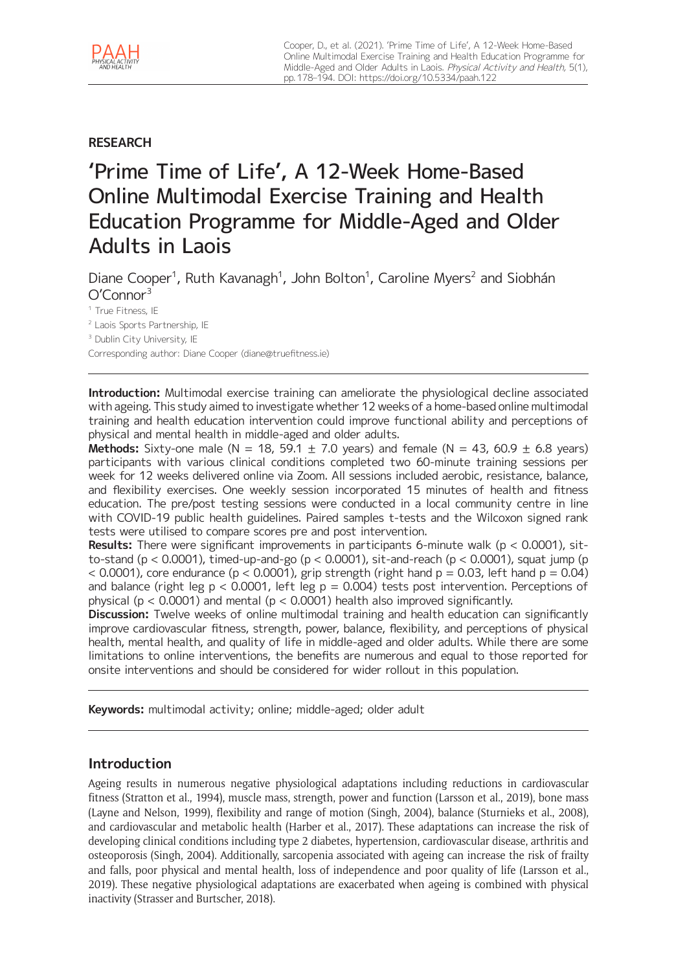

# **RESEARCH**

# 'Prime Time of Life', A 12-Week Home-Based Online Multimodal Exercise Training and Health Education Programme for Middle-Aged and Older Adults in Laois

Diane Cooper<sup>1</sup>, Ruth Kavanagh<sup>1</sup>, John Bolton<sup>1</sup>, Caroline Myers<sup>2</sup> and Siobhán O'Connor<sup>3</sup>

<sup>1</sup> True Fitness, IE

<sup>2</sup> Laois Sports Partnership, IE

<sup>3</sup> Dublin City University, IE

Corresponding author: Diane Cooper [\(diane@truefitness.ie](mailto:diane@truefitness.ie))

**Introduction:** Multimodal exercise training can ameliorate the physiological decline associated with ageing. This study aimed to investigate whether 12 weeks of a home-based online multimodal training and health education intervention could improve functional ability and perceptions of physical and mental health in middle-aged and older adults.

**Methods:** Sixty-one male (N = 18, 59.1  $\pm$  7.0 years) and female (N = 43, 60.9  $\pm$  6.8 years) participants with various clinical conditions completed two 60-minute training sessions per week for 12 weeks delivered online via Zoom. All sessions included aerobic, resistance, balance, and flexibility exercises. One weekly session incorporated 15 minutes of health and fitness education. The pre/post testing sessions were conducted in a local community centre in line with COVID-19 public health guidelines. Paired samples t-tests and the Wilcoxon signed rank tests were utilised to compare scores pre and post intervention.

**Results:** There were significant improvements in participants 6-minute walk (p < 0.0001), sitto-stand ( $p < 0.0001$ ), timed-up-and-go ( $p < 0.0001$ ), sit-and-reach ( $p < 0.0001$ ), squat jump ( $p$  $<$  0.0001), core endurance (p  $<$  0.0001), grip strength (right hand p = 0.03, left hand p = 0.04) and balance (right leg  $p < 0.0001$ , left leg  $p = 0.004$ ) tests post intervention. Perceptions of physical ( $p < 0.0001$ ) and mental ( $p < 0.0001$ ) health also improved significantly.

**Discussion:** Twelve weeks of online multimodal training and health education can significantly improve cardiovascular fitness, strength, power, balance, flexibility, and perceptions of physical health, mental health, and quality of life in middle-aged and older adults. While there are some limitations to online interventions, the benefits are numerous and equal to those reported for onsite interventions and should be considered for wider rollout in this population.

**Keywords:** multimodal activity; online; middle-aged; older adult

# **Introduction**

Ageing results in numerous negative physiological adaptations including reductions in cardiovascular fitness (Stratton et al., 1994), muscle mass, strength, power and function (Larsson et al., 2019), bone mass (Layne and Nelson, 1999), flexibility and range of motion (Singh, 2004), balance (Sturnieks et al., 2008), and cardiovascular and metabolic health (Harber et al., 2017). These adaptations can increase the risk of developing clinical conditions including type 2 diabetes, hypertension, cardiovascular disease, arthritis and osteoporosis (Singh, 2004). Additionally, sarcopenia associated with ageing can increase the risk of frailty and falls, poor physical and mental health, loss of independence and poor quality of life (Larsson et al., 2019). These negative physiological adaptations are exacerbated when ageing is combined with physical inactivity (Strasser and Burtscher, 2018).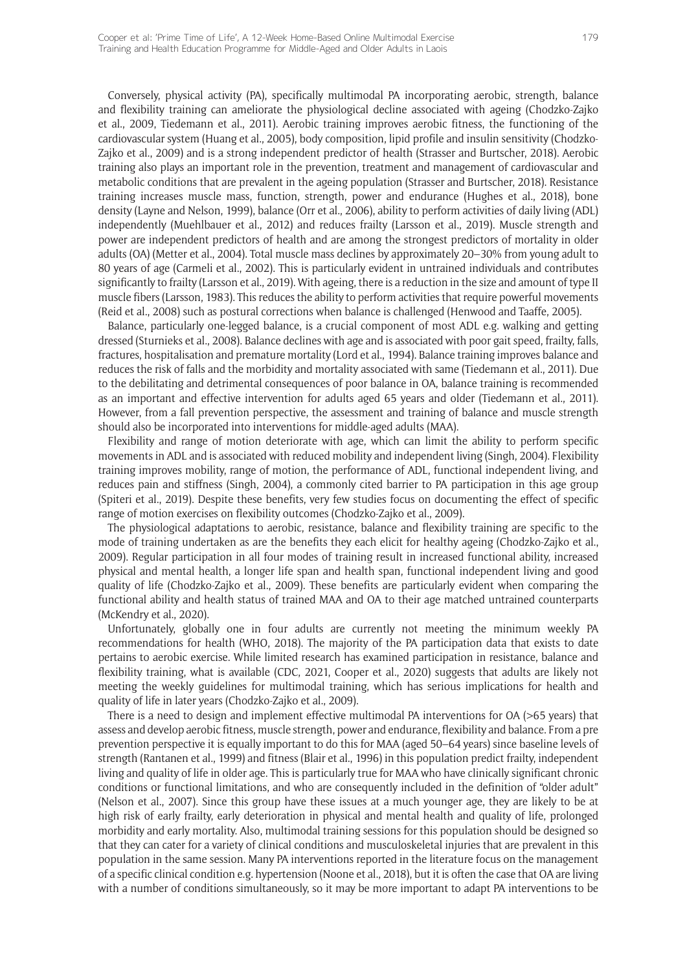Conversely, physical activity (PA), specifically multimodal PA incorporating aerobic, strength, balance and flexibility training can ameliorate the physiological decline associated with ageing (Chodzko-Zajko et al., 2009, Tiedemann et al., 2011). Aerobic training improves aerobic fitness, the functioning of the cardiovascular system (Huang et al., 2005), body composition, lipid profile and insulin sensitivity (Chodzko-Zajko et al., 2009) and is a strong independent predictor of health (Strasser and Burtscher, 2018). Aerobic training also plays an important role in the prevention, treatment and management of cardiovascular and metabolic conditions that are prevalent in the ageing population (Strasser and Burtscher, 2018). Resistance training increases muscle mass, function, strength, power and endurance (Hughes et al., 2018), bone density (Layne and Nelson, 1999), balance (Orr et al., 2006), ability to perform activities of daily living (ADL) independently (Muehlbauer et al., 2012) and reduces frailty (Larsson et al., 2019). Muscle strength and power are independent predictors of health and are among the strongest predictors of mortality in older adults (OA) (Metter et al., 2004). Total muscle mass declines by approximately 20–30% from young adult to 80 years of age (Carmeli et al., 2002). This is particularly evident in untrained individuals and contributes significantly to frailty (Larsson et al., 2019). With ageing, there is a reduction in the size and amount of type II muscle fibers (Larsson, 1983). This reduces the ability to perform activities that require powerful movements (Reid et al., 2008) such as postural corrections when balance is challenged (Henwood and Taaffe, 2005).

Balance, particularly one-legged balance, is a crucial component of most ADL e.g. walking and getting dressed (Sturnieks et al., 2008). Balance declines with age and is associated with poor gait speed, frailty, falls, fractures, hospitalisation and premature mortality (Lord et al., 1994). Balance training improves balance and reduces the risk of falls and the morbidity and mortality associated with same (Tiedemann et al., 2011). Due to the debilitating and detrimental consequences of poor balance in OA, balance training is recommended as an important and effective intervention for adults aged 65 years and older (Tiedemann et al., 2011). However, from a fall prevention perspective, the assessment and training of balance and muscle strength should also be incorporated into interventions for middle-aged adults (MAA).

Flexibility and range of motion deteriorate with age, which can limit the ability to perform specific movements in ADL and is associated with reduced mobility and independent living (Singh, 2004). Flexibility training improves mobility, range of motion, the performance of ADL, functional independent living, and reduces pain and stiffness (Singh, 2004), a commonly cited barrier to PA participation in this age group (Spiteri et al., 2019). Despite these benefits, very few studies focus on documenting the effect of specific range of motion exercises on flexibility outcomes (Chodzko-Zajko et al., 2009).

The physiological adaptations to aerobic, resistance, balance and flexibility training are specific to the mode of training undertaken as are the benefits they each elicit for healthy ageing (Chodzko-Zajko et al., 2009). Regular participation in all four modes of training result in increased functional ability, increased physical and mental health, a longer life span and health span, functional independent living and good quality of life (Chodzko-Zajko et al., 2009). These benefits are particularly evident when comparing the functional ability and health status of trained MAA and OA to their age matched untrained counterparts (McKendry et al., 2020).

Unfortunately, globally one in four adults are currently not meeting the minimum weekly PA recommendations for health (WHO, 2018). The majority of the PA participation data that exists to date pertains to aerobic exercise. While limited research has examined participation in resistance, balance and flexibility training, what is available (CDC, 2021, Cooper et al., 2020) suggests that adults are likely not meeting the weekly guidelines for multimodal training, which has serious implications for health and quality of life in later years (Chodzko-Zajko et al., 2009).

There is a need to design and implement effective multimodal PA interventions for OA (>65 years) that assess and develop aerobic fitness, muscle strength, power and endurance, flexibility and balance. From a pre prevention perspective it is equally important to do this for MAA (aged 50–64 years) since baseline levels of strength (Rantanen et al., 1999) and fitness (Blair et al., 1996) in this population predict frailty, independent living and quality of life in older age. This is particularly true for MAA who have clinically significant chronic conditions or functional limitations, and who are consequently included in the definition of "older adult" (Nelson et al., 2007). Since this group have these issues at a much younger age, they are likely to be at high risk of early frailty, early deterioration in physical and mental health and quality of life, prolonged morbidity and early mortality. Also, multimodal training sessions for this population should be designed so that they can cater for a variety of clinical conditions and musculoskeletal injuries that are prevalent in this population in the same session. Many PA interventions reported in the literature focus on the management of a specific clinical condition e.g. hypertension (Noone et al., 2018), but it is often the case that OA are living with a number of conditions simultaneously, so it may be more important to adapt PA interventions to be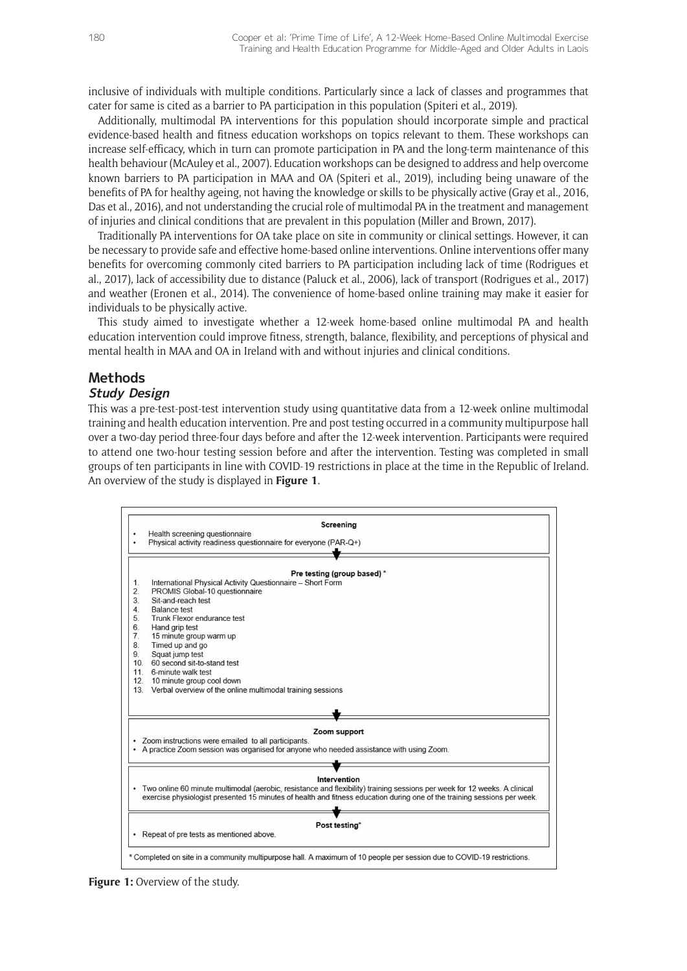inclusive of individuals with multiple conditions. Particularly since a lack of classes and programmes that cater for same is cited as a barrier to PA participation in this population (Spiteri et al., 2019).

Additionally, multimodal PA interventions for this population should incorporate simple and practical evidence-based health and fitness education workshops on topics relevant to them. These workshops can increase self-efficacy, which in turn can promote participation in PA and the long-term maintenance of this health behaviour (McAuley et al., 2007). Education workshops can be designed to address and help overcome known barriers to PA participation in MAA and OA (Spiteri et al., 2019), including being unaware of the benefits of PA for healthy ageing, not having the knowledge or skills to be physically active (Gray et al., 2016, Das et al., 2016), and not understanding the crucial role of multimodal PA in the treatment and management of injuries and clinical conditions that are prevalent in this population (Miller and Brown, 2017).

Traditionally PA interventions for OA take place on site in community or clinical settings. However, it can be necessary to provide safe and effective home-based online interventions. Online interventions offer many benefits for overcoming commonly cited barriers to PA participation including lack of time (Rodrigues et al., 2017), lack of accessibility due to distance (Paluck et al., 2006), lack of transport (Rodrigues et al., 2017) and weather (Eronen et al., 2014). The convenience of home-based online training may make it easier for individuals to be physically active.

This study aimed to investigate whether a 12-week home-based online multimodal PA and health education intervention could improve fitness, strength, balance, flexibility, and perceptions of physical and mental health in MAA and OA in Ireland with and without injuries and clinical conditions.

# **Methods**

## **Study Design**

This was a pre-test-post-test intervention study using quantitative data from a 12-week online multimodal training and health education intervention. Pre and post testing occurred in a community multipurpose hall over a two-day period three-four days before and after the 12-week intervention. Participants were required to attend one two-hour testing session before and after the intervention. Testing was completed in small groups of ten participants in line with COVID-19 restrictions in place at the time in the Republic of Ireland. An overview of the study is displayed in **Figure 1**.



**Figure 1:** Overview of the study.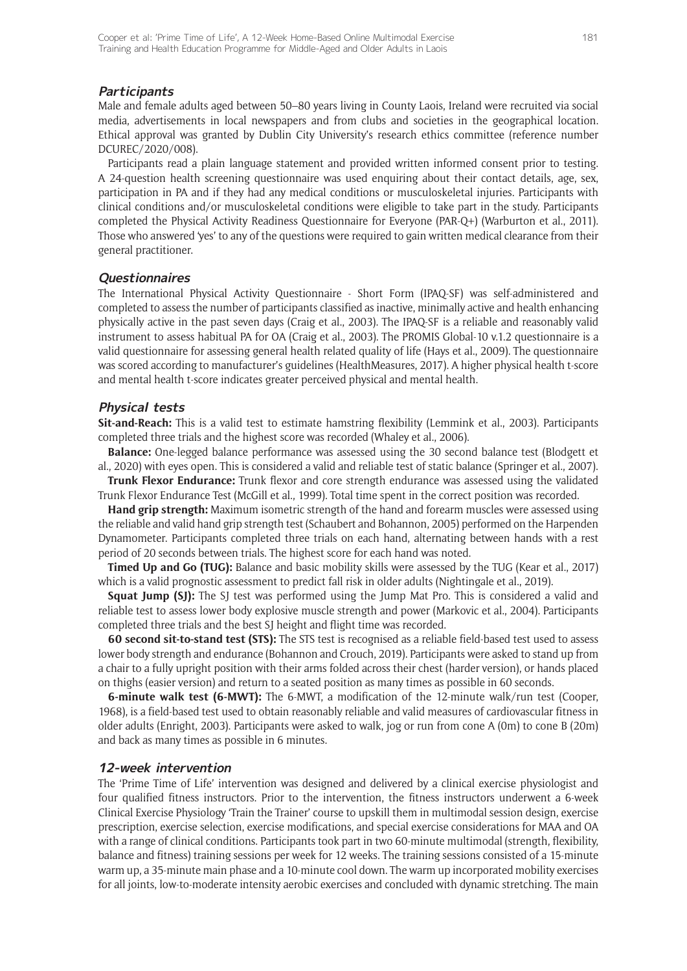#### **Participants**

Male and female adults aged between 50–80 years living in County Laois, Ireland were recruited via social media, advertisements in local newspapers and from clubs and societies in the geographical location. Ethical approval was granted by Dublin City University's research ethics committee (reference number DCUREC/2020/008).

Participants read a plain language statement and provided written informed consent prior to testing. A 24-question health screening questionnaire was used enquiring about their contact details, age, sex, participation in PA and if they had any medical conditions or musculoskeletal injuries. Participants with clinical conditions and/or musculoskeletal conditions were eligible to take part in the study. Participants completed the Physical Activity Readiness Questionnaire for Everyone (PAR-Q+) (Warburton et al., 2011). Those who answered 'yes' to any of the questions were required to gain written medical clearance from their general practitioner.

#### **Questionnaires**

The International Physical Activity Questionnaire - Short Form (IPAQ-SF) was self-administered and completed to assess the number of participants classified as inactive, minimally active and health enhancing physically active in the past seven days (Craig et al., 2003). The IPAQ-SF is a reliable and reasonably valid instrument to assess habitual PA for OA (Craig et al., 2003). The PROMIS Global-10 v.1.2 questionnaire is a valid questionnaire for assessing general health related quality of life (Hays et al., 2009). The questionnaire was scored according to manufacturer's guidelines (HealthMeasures, 2017). A higher physical health t-score and mental health t-score indicates greater perceived physical and mental health.

#### **Physical tests**

**Sit-and-Reach:** This is a valid test to estimate hamstring flexibility (Lemmink et al., 2003). Participants completed three trials and the highest score was recorded (Whaley et al., 2006).

**Balance:** One-legged balance performance was assessed using the 30 second balance test (Blodgett et al., 2020) with eyes open. This is considered a valid and reliable test of static balance (Springer et al., 2007).

**Trunk Flexor Endurance:** Trunk flexor and core strength endurance was assessed using the validated Trunk Flexor Endurance Test (McGill et al., 1999). Total time spent in the correct position was recorded.

**Hand grip strength:** Maximum isometric strength of the hand and forearm muscles were assessed using the reliable and valid hand grip strength test (Schaubert and Bohannon, 2005) performed on the Harpenden Dynamometer. Participants completed three trials on each hand, alternating between hands with a rest period of 20 seconds between trials. The highest score for each hand was noted.

**Timed Up and Go (TUG):** Balance and basic mobility skills were assessed by the TUG (Kear et al., 2017) which is a valid prognostic assessment to predict fall risk in older adults (Nightingale et al., 2019).

**Squat Jump (SJ):** The SJ test was performed using the Jump Mat Pro. This is considered a valid and reliable test to assess lower body explosive muscle strength and power (Markovic et al., 2004). Participants completed three trials and the best SJ height and flight time was recorded.

**60 second sit-to-stand test (STS):** The STS test is recognised as a reliable field-based test used to assess lower body strength and endurance (Bohannon and Crouch, 2019). Participants were asked to stand up from a chair to a fully upright position with their arms folded across their chest (harder version), or hands placed on thighs (easier version) and return to a seated position as many times as possible in 60 seconds.

**6-minute walk test (6-MWT):** The 6-MWT, a modification of the 12-minute walk/run test (Cooper, 1968), is a field-based test used to obtain reasonably reliable and valid measures of cardiovascular fitness in older adults (Enright, 2003). Participants were asked to walk, jog or run from cone A (0m) to cone B (20m) and back as many times as possible in 6 minutes.

#### **12-week intervention**

The 'Prime Time of Life' intervention was designed and delivered by a clinical exercise physiologist and four qualified fitness instructors. Prior to the intervention, the fitness instructors underwent a 6-week Clinical Exercise Physiology 'Train the Trainer' course to upskill them in multimodal session design, exercise prescription, exercise selection, exercise modifications, and special exercise considerations for MAA and OA with a range of clinical conditions. Participants took part in two 60-minute multimodal (strength, flexibility, balance and fitness) training sessions per week for 12 weeks. The training sessions consisted of a 15-minute warm up, a 35-minute main phase and a 10-minute cool down. The warm up incorporated mobility exercises for all joints, low-to-moderate intensity aerobic exercises and concluded with dynamic stretching. The main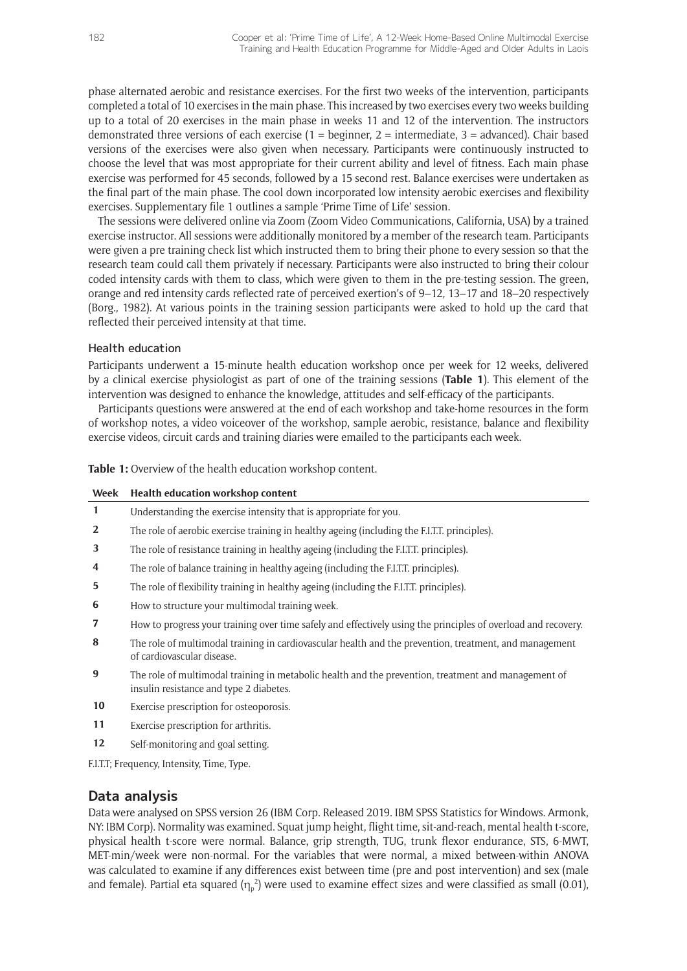phase alternated aerobic and resistance exercises. For the first two weeks of the intervention, participants completed a total of 10 exercises in the main phase. This increased by two exercises every two weeks building up to a total of 20 exercises in the main phase in weeks 11 and 12 of the intervention. The instructors demonstrated three versions of each exercise (1 = beginner, 2 = intermediate, 3 = advanced). Chair based versions of the exercises were also given when necessary. Participants were continuously instructed to choose the level that was most appropriate for their current ability and level of fitness. Each main phase exercise was performed for 45 seconds, followed by a 15 second rest. Balance exercises were undertaken as the final part of the main phase. The cool down incorporated low intensity aerobic exercises and flexibility exercises. Supplementary file 1 outlines a sample 'Prime Time of Life' session.

The sessions were delivered online via Zoom (Zoom Video Communications, California, USA) by a trained exercise instructor. All sessions were additionally monitored by a member of the research team. Participants were given a pre training check list which instructed them to bring their phone to every session so that the research team could call them privately if necessary. Participants were also instructed to bring their colour coded intensity cards with them to class, which were given to them in the pre-testing session. The green, orange and red intensity cards reflected rate of perceived exertion's of 9–12, 13–17 and 18–20 respectively (Borg., 1982). At various points in the training session participants were asked to hold up the card that reflected their perceived intensity at that time.

#### Health education

Participants underwent a 15-minute health education workshop once per week for 12 weeks, delivered by a clinical exercise physiologist as part of one of the training sessions (**Table 1**). This element of the intervention was designed to enhance the knowledge, attitudes and self-efficacy of the participants.

Participants questions were answered at the end of each workshop and take-home resources in the form of workshop notes, a video voiceover of the workshop, sample aerobic, resistance, balance and flexibility exercise videos, circuit cards and training diaries were emailed to the participants each week.

**Table 1:** Overview of the health education workshop content.

| Week           | Health education workshop content                                                                                                              |
|----------------|------------------------------------------------------------------------------------------------------------------------------------------------|
| $\mathbf{1}$   | Understanding the exercise intensity that is appropriate for you.                                                                              |
| $\overline{2}$ | The role of aerobic exercise training in healthy ageing (including the F.I.T.T. principles).                                                   |
| 3              | The role of resistance training in healthy ageing (including the F.I.T.T. principles).                                                         |
| 4              | The role of balance training in healthy ageing (including the F.I.T.T. principles).                                                            |
| 5              | The role of flexibility training in healthy ageing (including the F.I.T.T. principles).                                                        |
| 6              | How to structure your multimodal training week.                                                                                                |
| 7              | How to progress your training over time safely and effectively using the principles of overload and recovery.                                  |
| 8              | The role of multimodal training in cardiovascular health and the prevention, treatment, and management<br>of cardiovascular disease.           |
| 9              | The role of multimodal training in metabolic health and the prevention, treatment and management of<br>insulin resistance and type 2 diabetes. |
| 10             | Exercise prescription for osteoporosis.                                                                                                        |
| 11             | Exercise prescription for arthritis.                                                                                                           |
| 12             | Self-monitoring and goal setting.                                                                                                              |
|                | F.I.T.T; Frequency, Intensity, Time, Type.                                                                                                     |

## **Data analysis**

Data were analysed on SPSS version 26 (IBM Corp. Released 2019. IBM SPSS Statistics for Windows. Armonk, NY: IBM Corp). Normality was examined. Squat jump height, flight time, sit-and-reach, mental health t-score, physical health t-score were normal. Balance, grip strength, TUG, trunk flexor endurance, STS, 6-MWT, MET-min/week were non-normal. For the variables that were normal, a mixed between-within ANOVA was calculated to examine if any differences exist between time (pre and post intervention) and sex (male and female). Partial eta squared  $(\eta_p^2)$  were used to examine effect sizes and were classified as small (0.01),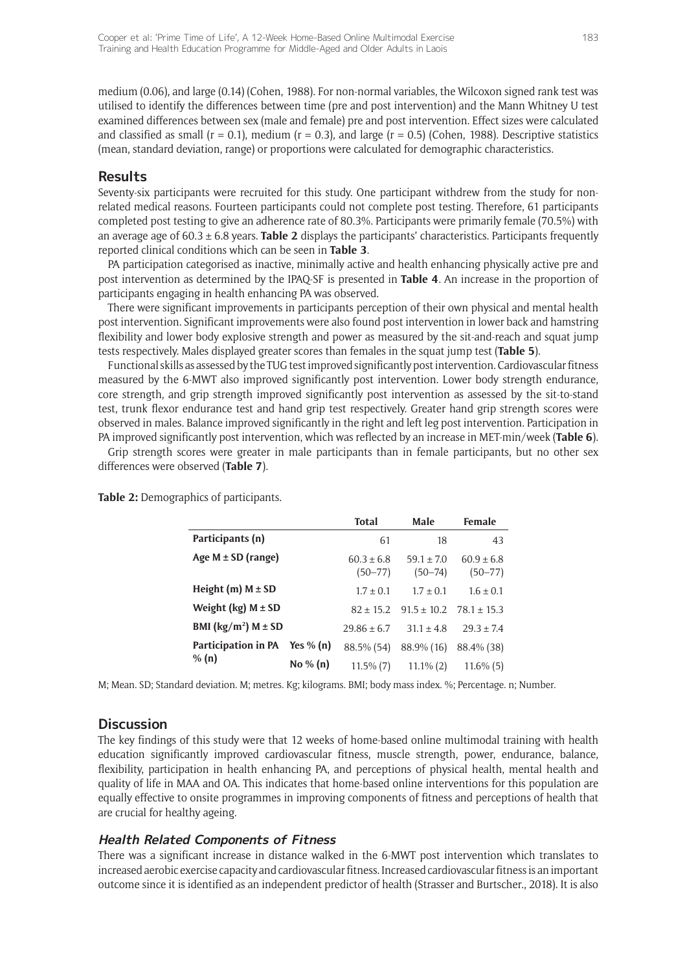medium (0.06), and large (0.14) (Cohen, 1988). For non-normal variables, the Wilcoxon signed rank test was utilised to identify the differences between time (pre and post intervention) and the Mann Whitney U test examined differences between sex (male and female) pre and post intervention. Effect sizes were calculated and classified as small ( $r = 0.1$ ), medium ( $r = 0.3$ ), and large ( $r = 0.5$ ) (Cohen, 1988). Descriptive statistics (mean, standard deviation, range) or proportions were calculated for demographic characteristics.

## **Results**

Seventy-six participants were recruited for this study. One participant withdrew from the study for nonrelated medical reasons. Fourteen participants could not complete post testing. Therefore, 61 participants completed post testing to give an adherence rate of 80.3%. Participants were primarily female (70.5%) with an average age of 60.3 ± 6.8 years. **Table 2** displays the participants' characteristics. Participants frequently reported clinical conditions which can be seen in **Table 3**.

PA participation categorised as inactive, minimally active and health enhancing physically active pre and post intervention as determined by the IPAQ-SF is presented in **Table 4**. An increase in the proportion of participants engaging in health enhancing PA was observed.

There were significant improvements in participants perception of their own physical and mental health post intervention. Significant improvements were also found post intervention in lower back and hamstring flexibility and lower body explosive strength and power as measured by the sit-and-reach and squat jump tests respectively. Males displayed greater scores than females in the squat jump test (**Table 5**).

Functional skills as assessed by the TUG test improved significantly post intervention. Cardiovascular fitness measured by the 6-MWT also improved significantly post intervention. Lower body strength endurance, core strength, and grip strength improved significantly post intervention as assessed by the sit-to-stand test, trunk flexor endurance test and hand grip test respectively. Greater hand grip strength scores were observed in males. Balance improved significantly in the right and left leg post intervention. Participation in PA improved significantly post intervention, which was reflected by an increase in MET-min/week (**Table 6**).

Grip strength scores were greater in male participants than in female participants, but no other sex differences were observed (**Table 7**).

**Table 2:** Demographics of participants.

|                                    |             | <b>Total</b>                  | Male                          | Female                        |
|------------------------------------|-------------|-------------------------------|-------------------------------|-------------------------------|
| Participants (n)                   |             | 61                            | 18                            | 43                            |
| Age $M \pm SD$ (range)             |             | $60.3 \pm 6.8$<br>$(50 - 77)$ | $59.1 \pm 7.0$<br>$(50 - 74)$ | $60.9 \pm 6.8$<br>$(50 - 77)$ |
| Height (m) $M \pm SD$              |             | $1.7 \pm 0.1$                 | $1.7 \pm 0.1$                 | $1.6 \pm 0.1$                 |
| Weight (kg) $M \pm SD$             |             | $82 \pm 15.2$                 | $91.5 \pm 10.2$               | $78.1 \pm 15.3$               |
| BMI ( $\text{kg/m}^2$ ) M $\pm$ SD |             | $29.86 \pm 6.7$               | $31.1 \pm 4.8$                | $29.3 \pm 7.4$                |
| Participation in PA Yes % (n)      |             | 88.5% (54)                    | 88.9% (16)                    | 88.4% (38)                    |
| % $(n)$                            | No $\%$ (n) | $11.5\%$ (7)                  | $11.1\%$ (2)                  | $11.6\%$ (5)                  |

M; Mean. SD; Standard deviation. M; metres. Kg; kilograms. BMI; body mass index. %; Percentage. n; Number.

## **Discussion**

The key findings of this study were that 12 weeks of home-based online multimodal training with health education significantly improved cardiovascular fitness, muscle strength, power, endurance, balance, flexibility, participation in health enhancing PA, and perceptions of physical health, mental health and quality of life in MAA and OA. This indicates that home-based online interventions for this population are equally effective to onsite programmes in improving components of fitness and perceptions of health that are crucial for healthy ageing.

## **Health Related Components of Fitness**

There was a significant increase in distance walked in the 6-MWT post intervention which translates to increased aerobic exercise capacity and cardiovascular fitness. Increased cardiovascular fitness is an important outcome since it is identified as an independent predictor of health (Strasser and Burtscher., 2018). It is also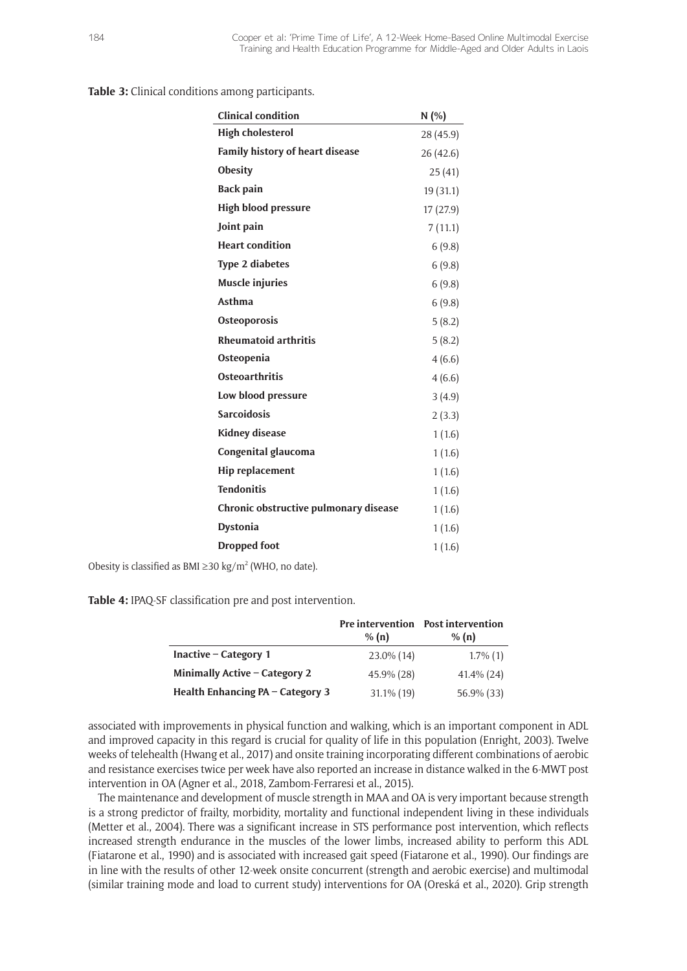**Table 3:** Clinical conditions among participants.

| <b>Clinical condition</b>              | N(%)      |
|----------------------------------------|-----------|
| <b>High cholesterol</b>                | 28 (45.9) |
| <b>Family history of heart disease</b> | 26 (42.6) |
| Obesity                                | 25(41)    |
| <b>Back pain</b>                       | 19 (31.1) |
| <b>High blood pressure</b>             | 17(27.9)  |
| Joint pain                             | 7(11.1)   |
| <b>Heart condition</b>                 | 6(9.8)    |
| <b>Type 2 diabetes</b>                 | 6(9.8)    |
| <b>Muscle injuries</b>                 | 6(9.8)    |
| Asthma                                 | 6(9.8)    |
| Osteoporosis                           | 5(8.2)    |
| <b>Rheumatoid arthritis</b>            | 5(8.2)    |
| Osteopenia                             | 4(6.6)    |
| <b>Osteoarthritis</b>                  | 4(6.6)    |
| Low blood pressure                     | 3(4.9)    |
| <b>Sarcoidosis</b>                     | 2(3.3)    |
| <b>Kidney disease</b>                  | 1(1.6)    |
| Congenital glaucoma                    | 1(1.6)    |
| <b>Hip replacement</b>                 | 1(1.6)    |
| <b>Tendonitis</b>                      | 1(1.6)    |
| Chronic obstructive pulmonary disease  | 1(1.6)    |
| <b>Dystonia</b>                        | 1(1.6)    |
| <b>Dropped foot</b>                    | 1(1.6)    |
|                                        |           |

Obesity is classified as BMI  $\geq$ 30 kg/m<sup>2</sup> (WHO, no date).

**Table 4:** IPAQ-SF classification pre and post intervention.

|                                  | <b>Pre</b> intervention<br>% (n) | <b>Post intervention</b><br>% (n) |
|----------------------------------|----------------------------------|-----------------------------------|
| Inactive $-$ Category 1          | 23.0% (14)                       | $1.7\%$ (1)                       |
| Minimally Active - Category 2    | 45.9% (28)                       | $41.4\%$ (24)                     |
| Health Enhancing PA - Category 3 | $31.1\%$ (19)                    | 56.9% (33)                        |

associated with improvements in physical function and walking, which is an important component in ADL and improved capacity in this regard is crucial for quality of life in this population (Enright, 2003). Twelve weeks of telehealth (Hwang et al., 2017) and onsite training incorporating different combinations of aerobic and resistance exercises twice per week have also reported an increase in distance walked in the 6-MWT post intervention in OA (Agner et al., 2018, Zambom-Ferraresi et al., 2015).

The maintenance and development of muscle strength in MAA and OA is very important because strength is a strong predictor of frailty, morbidity, mortality and functional independent living in these individuals (Metter et al., 2004). There was a significant increase in STS performance post intervention, which reflects increased strength endurance in the muscles of the lower limbs, increased ability to perform this ADL (Fiatarone et al., 1990) and is associated with increased gait speed (Fiatarone et al., 1990). Our findings are in line with the results of other 12-week onsite concurrent (strength and aerobic exercise) and multimodal (similar training mode and load to current study) interventions for OA (Oreská et al., 2020). Grip strength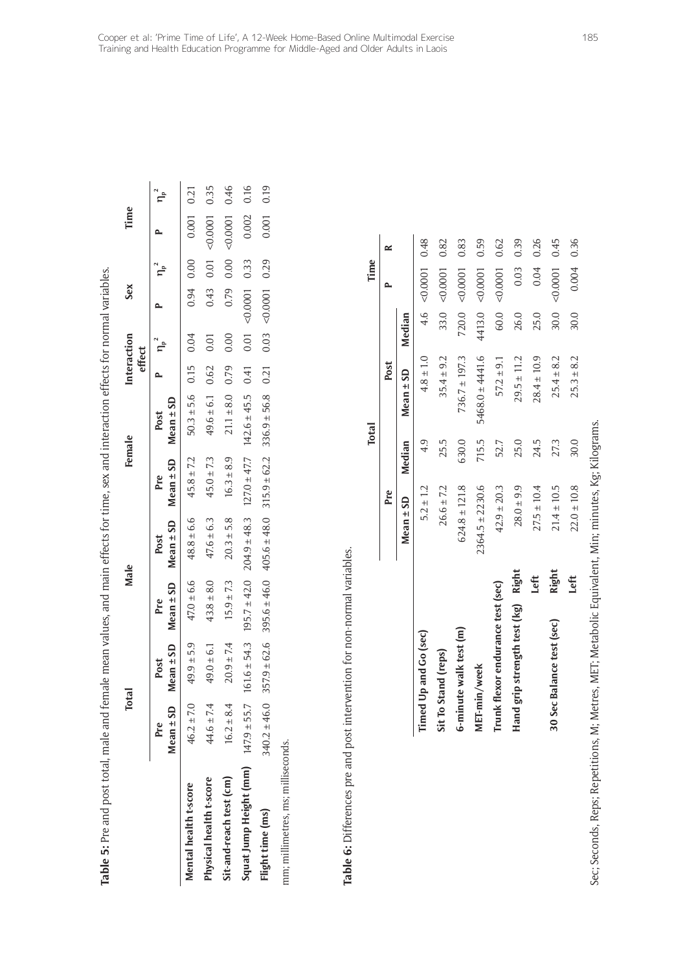|                                    | Total            |                       | Male                                                                                      |                                                   |                | Female                   | Interaction<br>effect |      | Sex           |           | Time       |      |
|------------------------------------|------------------|-----------------------|-------------------------------------------------------------------------------------------|---------------------------------------------------|----------------|--------------------------|-----------------------|------|---------------|-----------|------------|------|
|                                    | Mean ± SD<br>Pre | $Mean \pm SD$<br>Post | Mean $\pm$ SD<br>Pre                                                                      | Mean $\pm$ SD Mean $\pm$ SD Mean $\pm$ SD<br>Post | Pre            | Post                     |                       |      |               |           |            |      |
| Mental health t-score              | $46.2 \pm 7.0$   | $49.9 \pm 5.9$        | $47.0 \pm 6.6$                                                                            | $48.8 \pm 6.6$                                    | $45.8 \pm 7.2$ | $50.3 \pm 5.6$ 0.15 0.04 |                       |      |               | 0.94 0.00 | 0.001 0.21 |      |
| Physical health t-score            | $44.6 \pm 7.4$   | $49.0 \pm 6.1$        | $43.8 \pm 8.0$                                                                            | $47.6 \pm 6.3$                                    | $45.0 \pm 7.3$ | $49.6 \pm 6.1$           | 0.62                  | 0.01 | 0.43          | 0.01      | < 0.0001   | 0.35 |
| Sit-and-reach test (cm)            | $16.2 \pm 8.4$   | $20.9 \pm 7.4$        | $15.9 \pm 7.3$                                                                            | $20.3 \pm 5.8$                                    | $16.3 \pm 8.9$ | $21.1 \pm 8.0$ 0.79      |                       | 0.00 | 0.79          | 0.00      | 0.0001     | 0.46 |
| Squat Jump Height (mm)             | $147.9 \pm 55.7$ |                       | $161.6 \pm 54.3$ $195.7 \pm 42.0$ $204.9 \pm 48.3$ $127.0 \pm 47.7$ $142.6 \pm 45.5$ 0.41 |                                                   |                |                          |                       | 0.01 | $0.0001$ 0.33 |           | 0.002      | 0.16 |
| Flight time (ms)                   | $340.2 \pm 46.0$ |                       | $357.9 \pm 62.6$ $395.6 \pm 46.0$ $405.6 \pm 48.0$ $315.9 \pm 62.2$ $336.9 \pm 56.8$ 0.21 |                                                   |                |                          |                       | 0.03 | $0.0001$ 0.29 |           | 0.001      | 0.19 |
| mm; millimetres, ms; milliseconds. |                  |                       |                                                                                           |                                                   |                |                          |                       |      |               |           |            |      |

**Table 5:** Pre and post total, male and female mean values, and main effects for time, sex and interaction effects for normal variables.

Table 5: Pre and post total, male and female mean values, and main effects for time, sex and interaction effects for normal variables.

Table 6: Differences pre and post intervention for non-normal variables. **Table 6:** Differences pre and post intervention for non-normal variables.

|                                    |       |                     | <b>Total</b> |                     |        | Time                |      |
|------------------------------------|-------|---------------------|--------------|---------------------|--------|---------------------|------|
|                                    |       | Pre                 |              | Post                |        |                     | ≃    |
|                                    |       | $Mean \pm SD$       | Median       | $Mean \pm SD$       | Median |                     |      |
| Timed Up and Go (sec)              |       | $5.2 \pm 1.2$       | 4.9          | $4.8 \pm 1.0$       |        | 4.6 $< 0.0001$ 0.48 |      |
| Sit To Stand (reps)                |       | $26.6 \pm 7.2$      | 25.5         | $35.4 \pm 9.2$      | 33.0   | 0.0001              | 0.82 |
| 6-minute walk test (m)             |       | $624.8 \pm 121.8$   | 630.0        | $736.7 \pm 197.3$   | 720.0  | 0.0001              | 0.83 |
| MET-min/week                       |       | $2364.5 \pm 2230.6$ | 715.5        | $5468.0 \pm 4441.6$ | 4413.0 | 0.0001              | 0.59 |
| Trunk flexor endurance test (sec)  |       | $42.9 \pm 20.3$     | 52.7         | $57.2 \pm 9.1$      | 60.0   | < 0.0001            | 0.62 |
| Hand grip strength test (kg) Right |       | $28.0 \pm 9.9$      | 25.0         | $29.5 \pm 11.2$     | 26.0   | 0.03                | 0.39 |
|                                    | Left  | $27.5 \pm 10.4$     | 24.5         | $28.4 \pm 10.9$     | 25.0   | 0.04                | 0.26 |
| 30 Sec Balance test (sec)          | Right | $21.4 \pm 10.5$     | 27.3         | $25.4 \pm 8.2$      | 30.0   | 0.0001              | 0.45 |
|                                    | Left  | $22.0 \pm 10.8$     | 30.0         | $25.3 \pm 8.2$      | 30.0   | 0.004               | 0.36 |
|                                    |       |                     |              |                     |        |                     |      |

Sec; Seconds, Reps; Repetitions, M; Metres, MET; Metabolic Equivalent, Min; minutes, Kg; Kilograms. Sec; Seconds, Reps; Repetitions, M; Metres, MET; Metabolic Equivalent, Min; minutes, Kg; Kilograms.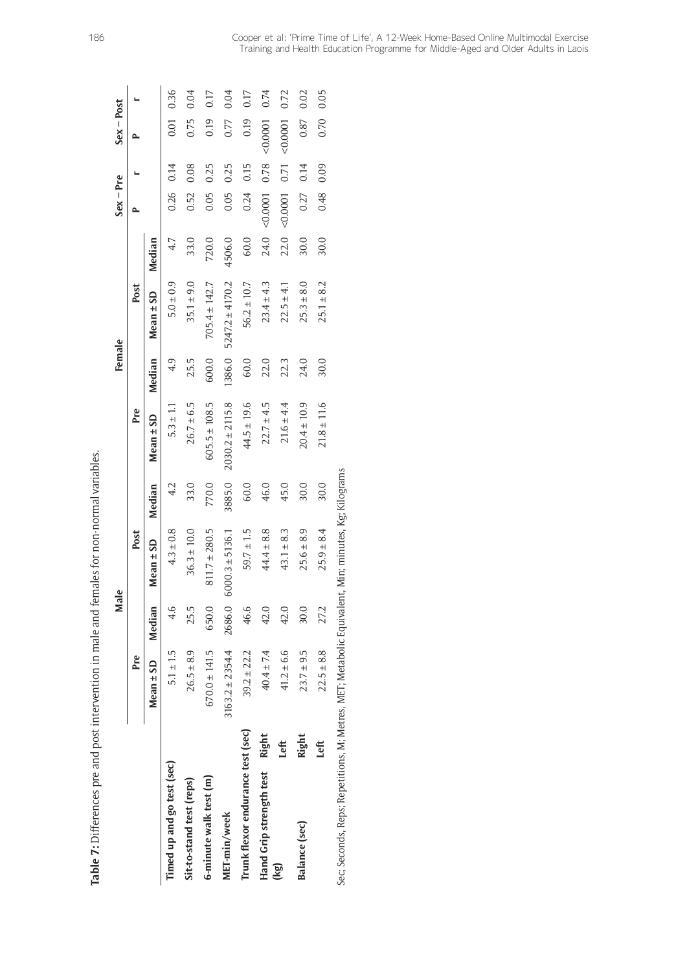|                                                                                                    |              |                     | Male   |                     |        |                     | Female |                     |        | $Sex - Pre$ |      | $Sex - Post$ |      |
|----------------------------------------------------------------------------------------------------|--------------|---------------------|--------|---------------------|--------|---------------------|--------|---------------------|--------|-------------|------|--------------|------|
|                                                                                                    |              | Pre                 |        | Post                |        | Pre                 |        | Post                |        |             |      |              |      |
|                                                                                                    |              | Mean $\pm$ SD       | Median | $Mean \pm SD$       | Median | $Mean \pm SD$       | Median | Mean $\pm$ SD       | Median |             |      |              |      |
| Timed up and go test (sec)                                                                         |              | $5.1 \pm 1.5$       | 4.6    | $4.3 \pm 0.8$       |        | $5.3 \pm 1.1$       | 4.9    | $5.0 \pm 0.9$       | 4.7    | 0.26        | 0.14 | 0.01         | 0.36 |
| Sit-to-stand test (reps)                                                                           |              | $26.5 + 8.9$        | 25.5   | $36.3 \pm 10.0$     | 33.0   | $26.7 \pm 6.5$      | 25.5   | $35.1 \pm 9.0$      | 33.0   | 0.52        | 0.08 | 0.75         | 0.04 |
| 6-minute walk test (m)                                                                             |              | $670.0 \pm 141.5$   | 650.0  | $811.7 \pm 280.5$   | 770.0  | $605.5 \pm 108.5$   | 600.0  | $705.4 \pm 142.7$   | 720.0  | 0.05        | 0.25 | 0.19         | 0.17 |
| MET-min/week                                                                                       |              | $3163.2 \pm 2354.4$ | 2686.0 | $6000.3 \pm 5136.1$ | 3885.0 | $2030.2 \pm 2115.8$ | 1386.0 | $5247.2 \pm 4170.2$ | 4506.0 | 0.05        | 0.25 | 0.77         | 0.04 |
| Trunk flexor endurance test (sec)                                                                  |              | $39.2 \pm 22.2$     | 46.6   | $59.7 \pm 1.5$      | 60.0   | $44.5 \pm 19.6$     | 60.0   | $56.2 \pm 10.7$     | 60.0   | 0.24        | 0.15 | 0.19         | 0.17 |
| Hand Grip strength test                                                                            | Right        | $40.4 \pm 7.4$      | 42.0   | $44.4 \pm 8.8$      | 46.0   | $22.7 \pm 4.5$      | 22.0   | $23.4 \pm 4.3$      | 24.0   | 0.0001      | 0.78 | 0.0001       | 0.74 |
| (kg)                                                                                               | Left         | $41.2 \pm 6.6$      | 42.0   | $43.1 \pm 8.3$      | 45.0   | $21.6 \pm 4.4$      | 22.3   | $22.5 \pm 4.1$      | 22.0   | 0.0001      | 0.71 | 0.0001       | 0.72 |
| Balance (sec)                                                                                      | <b>Right</b> | $23.7 \pm 9.5$      | 30.0   | $25.6 \pm 8.9$      | 30.0   | $20.4 \pm 10.9$     | 24.0   | $25.3 \pm 8.0$      | 30.0   | 0.27        | 0.14 | 0.87         | 0.02 |
|                                                                                                    | Left         | $22.5 \pm 8.8$      | 27.2   | $25.9 \pm 8.4$      | 30.0   | $21.8 \pm 11.6$     | 30.0   | $25.1 \pm 8.2$      | 30.0   | 0.48        | 0.09 | 0.70         | 0.05 |
| Sec; Seconds, Reps; Repetitions, M; Metres, MET; Metabolic Equivalent, Min; minutes, Kg; Kilograms |              |                     |        |                     |        |                     |        |                     |        |             |      |              |      |

Table 7: Differences pre and post intervention in male and females for non-normal variables. **Table 7:** Differences pre and post intervention in male and females for non-normal variables.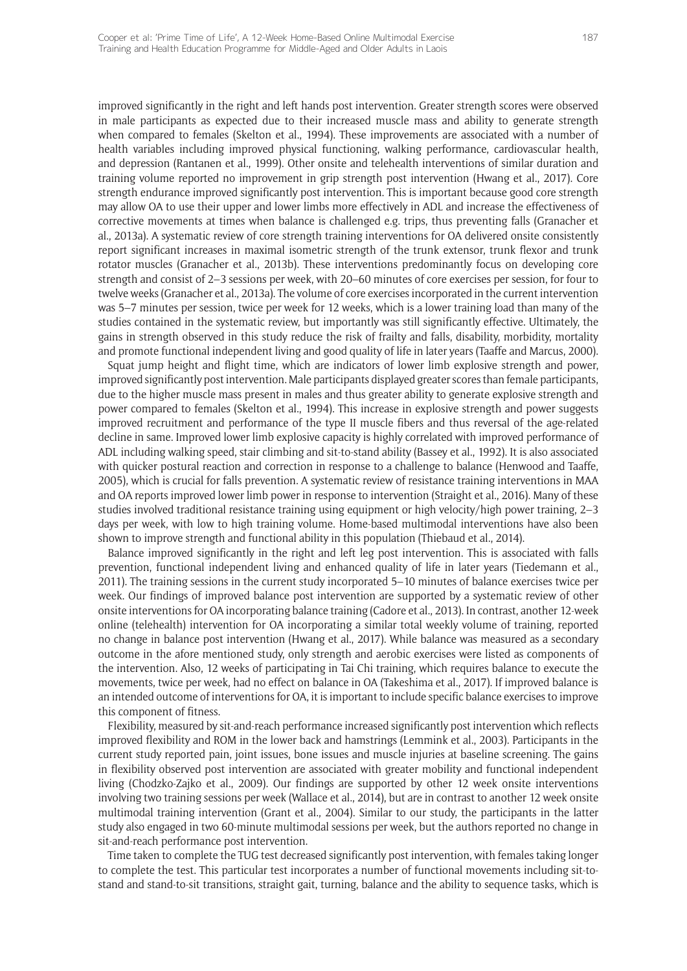improved significantly in the right and left hands post intervention. Greater strength scores were observed in male participants as expected due to their increased muscle mass and ability to generate strength when compared to females (Skelton et al., 1994). These improvements are associated with a number of health variables including improved physical functioning, walking performance, cardiovascular health, and depression (Rantanen et al., 1999). Other onsite and telehealth interventions of similar duration and training volume reported no improvement in grip strength post intervention (Hwang et al., 2017). Core strength endurance improved significantly post intervention. This is important because good core strength may allow OA to use their upper and lower limbs more effectively in ADL and increase the effectiveness of corrective movements at times when balance is challenged e.g. trips, thus preventing falls (Granacher et al., 2013a). A systematic review of core strength training interventions for OA delivered onsite consistently report significant increases in maximal isometric strength of the trunk extensor, trunk flexor and trunk rotator muscles (Granacher et al., 2013b). These interventions predominantly focus on developing core strength and consist of 2–3 sessions per week, with 20–60 minutes of core exercises per session, for four to twelve weeks (Granacher et al., 2013a). The volume of core exercises incorporated in the current intervention was 5–7 minutes per session, twice per week for 12 weeks, which is a lower training load than many of the studies contained in the systematic review, but importantly was still significantly effective. Ultimately, the gains in strength observed in this study reduce the risk of frailty and falls, disability, morbidity, mortality and promote functional independent living and good quality of life in later years (Taaffe and Marcus, 2000).

Squat jump height and flight time, which are indicators of lower limb explosive strength and power, improved significantly post intervention. Male participants displayed greater scores than female participants, due to the higher muscle mass present in males and thus greater ability to generate explosive strength and power compared to females (Skelton et al., 1994). This increase in explosive strength and power suggests improved recruitment and performance of the type II muscle fibers and thus reversal of the age-related decline in same. Improved lower limb explosive capacity is highly correlated with improved performance of ADL including walking speed, stair climbing and sit-to-stand ability (Bassey et al., 1992). It is also associated with quicker postural reaction and correction in response to a challenge to balance (Henwood and Taaffe, 2005), which is crucial for falls prevention. A systematic review of resistance training interventions in MAA and OA reports improved lower limb power in response to intervention (Straight et al., 2016). Many of these studies involved traditional resistance training using equipment or high velocity/high power training, 2–3 days per week, with low to high training volume. Home-based multimodal interventions have also been shown to improve strength and functional ability in this population (Thiebaud et al., 2014).

Balance improved significantly in the right and left leg post intervention. This is associated with falls prevention, functional independent living and enhanced quality of life in later years (Tiedemann et al., 2011). The training sessions in the current study incorporated 5–10 minutes of balance exercises twice per week. Our findings of improved balance post intervention are supported by a systematic review of other onsite interventions for OA incorporating balance training (Cadore et al., 2013). In contrast, another 12-week online (telehealth) intervention for OA incorporating a similar total weekly volume of training, reported no change in balance post intervention (Hwang et al., 2017). While balance was measured as a secondary outcome in the afore mentioned study, only strength and aerobic exercises were listed as components of the intervention. Also, 12 weeks of participating in Tai Chi training, which requires balance to execute the movements, twice per week, had no effect on balance in OA (Takeshima et al., 2017). If improved balance is an intended outcome of interventions for OA, it is important to include specific balance exercises to improve this component of fitness.

Flexibility, measured by sit-and-reach performance increased significantly post intervention which reflects improved flexibility and ROM in the lower back and hamstrings (Lemmink et al., 2003). Participants in the current study reported pain, joint issues, bone issues and muscle injuries at baseline screening. The gains in flexibility observed post intervention are associated with greater mobility and functional independent living (Chodzko-Zajko et al., 2009). Our findings are supported by other 12 week onsite interventions involving two training sessions per week (Wallace et al., 2014), but are in contrast to another 12 week onsite multimodal training intervention (Grant et al., 2004). Similar to our study, the participants in the latter study also engaged in two 60-minute multimodal sessions per week, but the authors reported no change in sit-and-reach performance post intervention.

Time taken to complete the TUG test decreased significantly post intervention, with females taking longer to complete the test. This particular test incorporates a number of functional movements including sit-tostand and stand-to-sit transitions, straight gait, turning, balance and the ability to sequence tasks, which is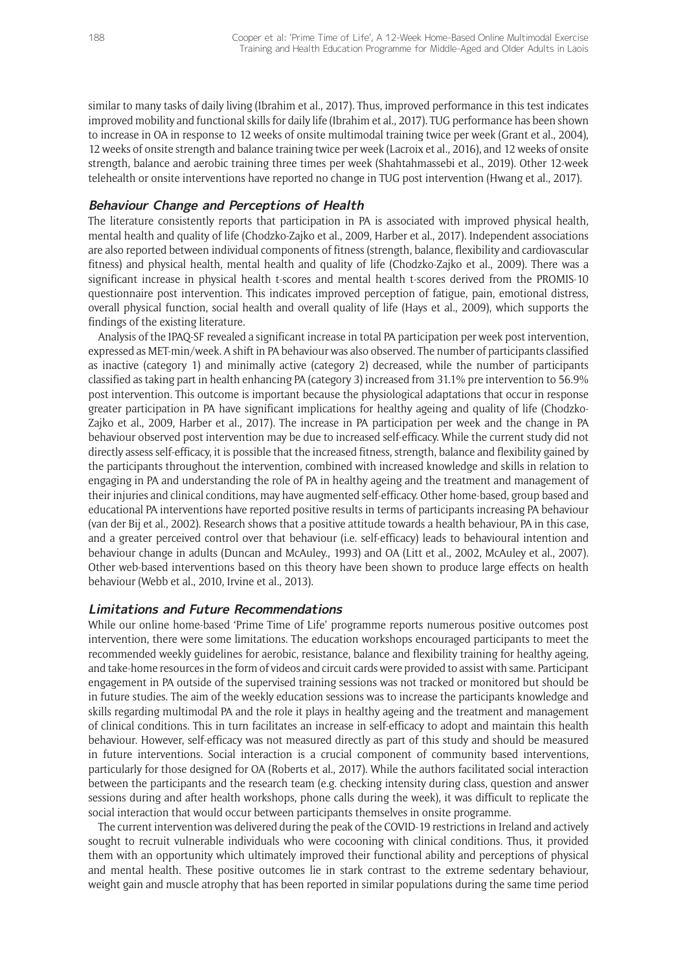similar to many tasks of daily living (Ibrahim et al., 2017). Thus, improved performance in this test indicates improved mobility and functional skills for daily life (Ibrahim et al., 2017). TUG performance has been shown to increase in OA in response to 12 weeks of onsite multimodal training twice per week (Grant et al., 2004), 12 weeks of onsite strength and balance training twice per week (Lacroix et al., 2016), and 12 weeks of onsite strength, balance and aerobic training three times per week (Shahtahmassebi et al., 2019). Other 12-week telehealth or onsite interventions have reported no change in TUG post intervention (Hwang et al., 2017).

## **Behaviour Change and Perceptions of Health**

The literature consistently reports that participation in PA is associated with improved physical health, mental health and quality of life (Chodzko-Zajko et al., 2009, Harber et al., 2017). Independent associations are also reported between individual components of fitness (strength, balance, flexibility and cardiovascular fitness) and physical health, mental health and quality of life (Chodzko-Zajko et al., 2009). There was a significant increase in physical health t-scores and mental health t-scores derived from the PROMIS-10 questionnaire post intervention. This indicates improved perception of fatigue, pain, emotional distress, overall physical function, social health and overall quality of life (Hays et al., 2009), which supports the findings of the existing literature.

Analysis of the IPAQ-SF revealed a significant increase in total PA participation per week post intervention, expressed as MET-min/week. A shift in PA behaviour was also observed. The number of participants classified as inactive (category 1) and minimally active (category 2) decreased, while the number of participants classified as taking part in health enhancing PA (category 3) increased from 31.1% pre intervention to 56.9% post intervention. This outcome is important because the physiological adaptations that occur in response greater participation in PA have significant implications for healthy ageing and quality of life (Chodzko-Zajko et al., 2009, Harber et al., 2017). The increase in PA participation per week and the change in PA behaviour observed post intervention may be due to increased self-efficacy. While the current study did not directly assess self-efficacy, it is possible that the increased fitness, strength, balance and flexibility gained by the participants throughout the intervention, combined with increased knowledge and skills in relation to engaging in PA and understanding the role of PA in healthy ageing and the treatment and management of their injuries and clinical conditions, may have augmented self-efficacy. Other home-based, group based and educational PA interventions have reported positive results in terms of participants increasing PA behaviour (van der Bij et al., 2002). Research shows that a positive attitude towards a health behaviour, PA in this case, and a greater perceived control over that behaviour (i.e. self-efficacy) leads to behavioural intention and behaviour change in adults (Duncan and McAuley., 1993) and OA (Litt et al., 2002, McAuley et al., 2007). Other web-based interventions based on this theory have been shown to produce large effects on health behaviour (Webb et al., 2010, Irvine et al., 2013).

## **Limitations and Future Recommendations**

While our online home-based 'Prime Time of Life' programme reports numerous positive outcomes post intervention, there were some limitations. The education workshops encouraged participants to meet the recommended weekly guidelines for aerobic, resistance, balance and flexibility training for healthy ageing, and take-home resources in the form of videos and circuit cards were provided to assist with same. Participant engagement in PA outside of the supervised training sessions was not tracked or monitored but should be in future studies. The aim of the weekly education sessions was to increase the participants knowledge and skills regarding multimodal PA and the role it plays in healthy ageing and the treatment and management of clinical conditions. This in turn facilitates an increase in self-efficacy to adopt and maintain this health behaviour. However, self-efficacy was not measured directly as part of this study and should be measured in future interventions. Social interaction is a crucial component of community based interventions, particularly for those designed for OA (Roberts et al., 2017). While the authors facilitated social interaction between the participants and the research team (e.g. checking intensity during class, question and answer sessions during and after health workshops, phone calls during the week), it was difficult to replicate the social interaction that would occur between participants themselves in onsite programme.

The current intervention was delivered during the peak of the COVID-19 restrictions in Ireland and actively sought to recruit vulnerable individuals who were cocooning with clinical conditions. Thus, it provided them with an opportunity which ultimately improved their functional ability and perceptions of physical and mental health. These positive outcomes lie in stark contrast to the extreme sedentary behaviour, weight gain and muscle atrophy that has been reported in similar populations during the same time period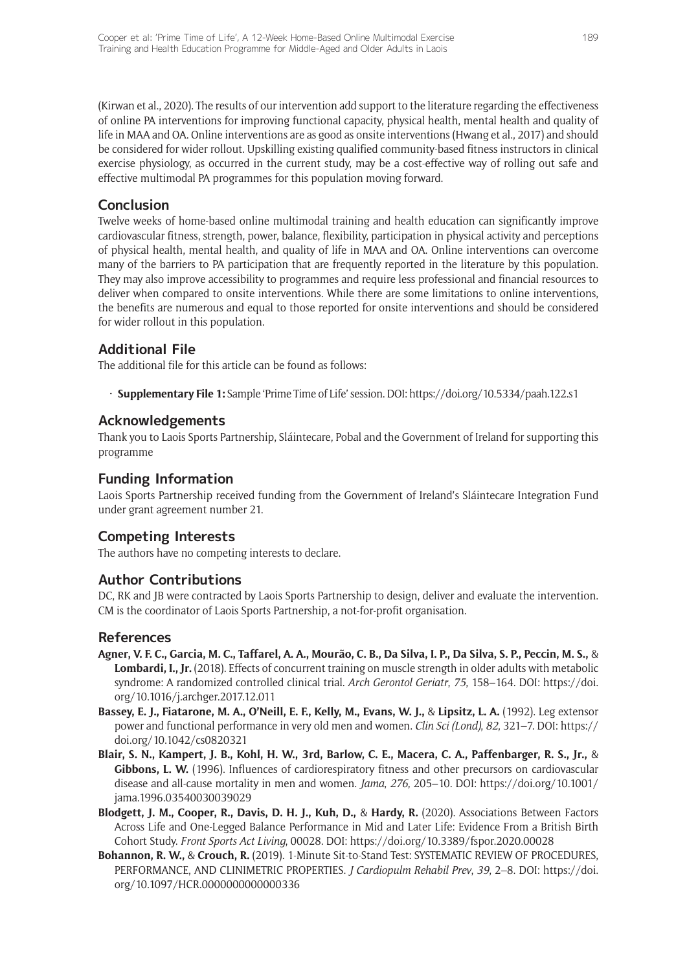(Kirwan et al., 2020). The results of our intervention add support to the literature regarding the effectiveness of online PA interventions for improving functional capacity, physical health, mental health and quality of life in MAA and OA. Online interventions are as good as onsite interventions (Hwang et al., 2017) and should be considered for wider rollout. Upskilling existing qualified community-based fitness instructors in clinical exercise physiology, as occurred in the current study, may be a cost-effective way of rolling out safe and effective multimodal PA programmes for this population moving forward.

## **Conclusion**

Twelve weeks of home-based online multimodal training and health education can significantly improve cardiovascular fitness, strength, power, balance, flexibility, participation in physical activity and perceptions of physical health, mental health, and quality of life in MAA and OA. Online interventions can overcome many of the barriers to PA participation that are frequently reported in the literature by this population. They may also improve accessibility to programmes and require less professional and financial resources to deliver when compared to onsite interventions. While there are some limitations to online interventions, the benefits are numerous and equal to those reported for onsite interventions and should be considered for wider rollout in this population.

## **Additional File**

The additional file for this article can be found as follows:

• **Supplementary File 1:** Sample 'Prime Time of Life' session. DOI:<https://doi.org/10.5334/paah.122.s1>

## **Acknowledgements**

Thank you to Laois Sports Partnership, Sláintecare, Pobal and the Government of Ireland for supporting this programme

# **Funding Information**

Laois Sports Partnership received funding from the Government of Ireland's Sláintecare Integration Fund under grant agreement number 21.

# **Competing Interests**

The authors have no competing interests to declare.

## **Author Contributions**

DC, RK and JB were contracted by Laois Sports Partnership to design, deliver and evaluate the intervention. CM is the coordinator of Laois Sports Partnership, a not-for-profit organisation.

## **References**

- **Agner, V. F. C., Garcia, M. C., Taffarel, A. A., Mourão, C. B., Da Silva, I. P., Da Silva, S. P., Peccin, M. S.,** & **Lombardi, I., Jr.** (2018). Effects of concurrent training on muscle strength in older adults with metabolic syndrome: A randomized controlled clinical trial. *Arch Gerontol Geriatr*, *75*, 158–164. DOI: [https://doi.](https://doi.org/10.1016/j.archger.2017.12.011) [org/10.1016/j.archger.2017.12.011](https://doi.org/10.1016/j.archger.2017.12.011)
- **Bassey, E. J., Fiatarone, M. A., O'Neill, E. F., Kelly, M., Evans, W. J.,** & **Lipsitz, L. A.** (1992). Leg extensor power and functional performance in very old men and women. *Clin Sci (Lond)*, *82*, 321–7. DOI: [https://](https://doi.org/10.1042/cs0820321) [doi.org/10.1042/cs0820321](https://doi.org/10.1042/cs0820321)
- **Blair, S. N., Kampert, J. B., Kohl, H. W., 3rd, Barlow, C. E., Macera, C. A., Paffenbarger, R. S., Jr.,** & Gibbons, L. W. (1996). Influences of cardiorespiratory fitness and other precursors on cardiovascular disease and all-cause mortality in men and women. *Jama*, *276*, 205–10. DOI: [https://doi.org/10.1001/](https://doi.org/10.1001/jama.1996.03540030039029) [jama.1996.03540030039029](https://doi.org/10.1001/jama.1996.03540030039029)
- **Blodgett, J. M., Cooper, R., Davis, D. H. J., Kuh, D.,** & **Hardy, R.** (2020). Associations Between Factors Across Life and One-Legged Balance Performance in Mid and Later Life: Evidence From a British Birth Cohort Study. *Front Sports Act Living*, 00028. DOI:<https://doi.org/10.3389/fspor.2020.00028>
- **Bohannon, R. W.,** & **Crouch, R.** (2019). 1-Minute Sit-to-Stand Test: SYSTEMATIC REVIEW OF PROCEDURES, PERFORMANCE, AND CLINIMETRIC PROPERTIES. *J Cardiopulm Rehabil Prev*, *39*, 2–8. DOI: [https://doi.](https://doi.org/10.1097/HCR.0000000000000336) [org/10.1097/HCR.0000000000000336](https://doi.org/10.1097/HCR.0000000000000336)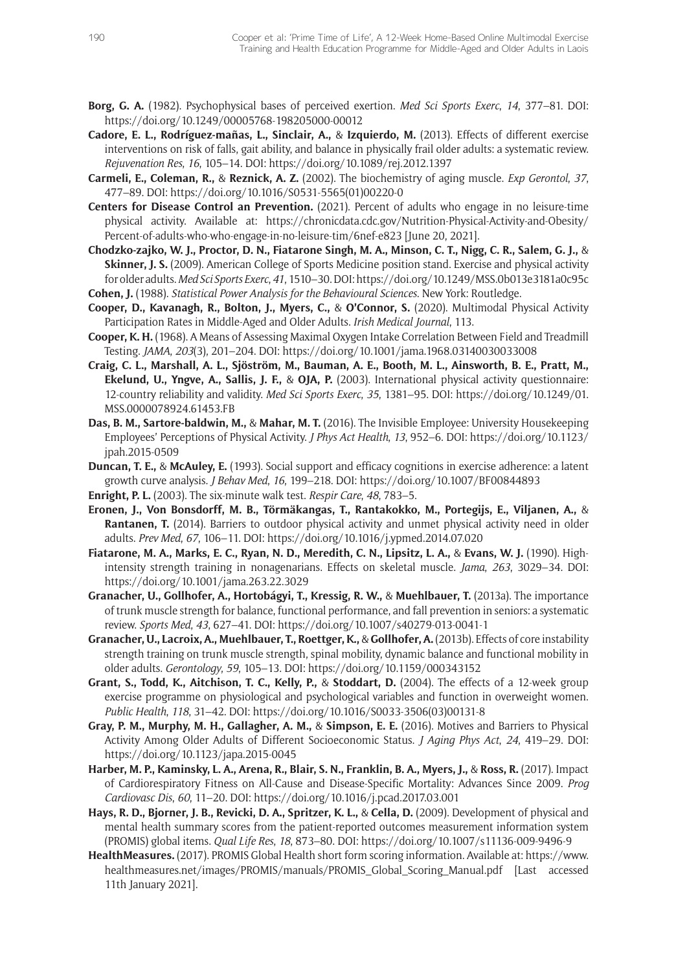- **Borg, G. A.** (1982). Psychophysical bases of perceived exertion. *Med Sci Sports Exerc*, *14*, 377–81. DOI: <https://doi.org/10.1249/00005768-198205000-00012>
- **Cadore, E. L., Rodríguez-mañas, L., Sinclair, A.,** & **Izquierdo, M.** (2013). Effects of different exercise interventions on risk of falls, gait ability, and balance in physically frail older adults: a systematic review. *Rejuvenation Res*, *16*, 105–14. DOI:<https://doi.org/10.1089/rej.2012.1397>
- **Carmeli, E., Coleman, R.,** & **Reznick, A. Z.** (2002). The biochemistry of aging muscle. *Exp Gerontol*, *37*, 477–89. DOI: [https://doi.org/10.1016/S0531-5565\(01\)00220-0](https://doi.org/10.1016/S0531-5565(01)00220-0)
- **Centers for Disease Control an Prevention.** (2021). Percent of adults who engage in no leisure-time physical activity. Available at: [https://chronicdata.cdc.gov/Nutrition-Physical-Activity-and-Obesity/](https://chronicdata.cdc.gov/Nutrition-Physical-Activity-and-Obesity/Percent-of-adults-who-who-engage-in-no-leisure-tim/6nef-e823) [Percent-of-adults-who-who-engage-in-no-leisure-tim/6nef-e823](https://chronicdata.cdc.gov/Nutrition-Physical-Activity-and-Obesity/Percent-of-adults-who-who-engage-in-no-leisure-tim/6nef-e823) [June 20, 2021].
- **Chodzko-zajko, W. J., Proctor, D. N., Fiatarone Singh, M. A., Minson, C. T., Nigg, C. R., Salem, G. J.,** & **Skinner, J. S.** (2009). American College of Sports Medicine position stand. Exercise and physical activity for older adults. *Med Sci Sports Exerc*, *41*, 1510–30. DOI:<https://doi.org/10.1249/MSS.0b013e3181a0c95c> **Cohen, J.** (1988). *Statistical Power Analysis for the Behavioural Sciences*. New York: Routledge.
- **Cooper, D., Kavanagh, R., Bolton, J., Myers, C.,** & **O'Connor, S.** (2020). Multimodal Physical Activity Participation Rates in Middle-Aged and Older Adults. *Irish Medical Journal*, 113.
- **Cooper, K. H.** (1968). A Means of Assessing Maximal Oxygen Intake Correlation Between Field and Treadmill Testing. *JAMA*, *203*(3), 201–204. DOI: <https://doi.org/10.1001/jama.1968.03140030033008>
- **Craig, C. L., Marshall, A. L., Sjöström, M., Bauman, A. E., Booth, M. L., Ainsworth, B. E., Pratt, M., Ekelund, U., Yngve, A., Sallis, J. F.,** & **OJA, P.** (2003). International physical activity questionnaire: 12-country reliability and validity. *Med Sci Sports Exerc*, *35*, 1381–95. DOI: [https://doi.org/10.1249/01.](https://doi.org/10.1249/01.MSS.0000078924.61453.FB) [MSS.0000078924.61453.FB](https://doi.org/10.1249/01.MSS.0000078924.61453.FB)
- **Das, B. M., Sartore-baldwin, M.,** & **Mahar, M. T.** (2016). The Invisible Employee: University Housekeeping Employees' Perceptions of Physical Activity. *J Phys Act Health*, *13*, 952–6. DOI: [https://doi.org/10.1123/](https://doi.org/10.1123/jpah.2015-0509) [jpah.2015-0509](https://doi.org/10.1123/jpah.2015-0509)
- **Duncan, T. E.,** & **McAuley, E.** (1993). Social support and efficacy cognitions in exercise adherence: a latent growth curve analysis. *J Behav Med*, *16*, 199–218. DOI: <https://doi.org/10.1007/BF00844893>
- **Enright, P. L.** (2003). The six-minute walk test. *Respir Care*, *48*, 783–5.
- **Eronen, J., Von Bonsdorff, M. B., Törmäkangas, T., Rantakokko, M., Portegijs, E., Viljanen, A.,** & **Rantanen, T.** (2014). Barriers to outdoor physical activity and unmet physical activity need in older adults. *Prev Med*, *67*, 106–11. DOI: <https://doi.org/10.1016/j.ypmed.2014.07.020>
- **Fiatarone, M. A., Marks, E. C., Ryan, N. D., Meredith, C. N., Lipsitz, L. A.,** & **Evans, W. J.** (1990). Highintensity strength training in nonagenarians. Effects on skeletal muscle. *Jama*, *263*, 3029–34. DOI: <https://doi.org/10.1001/jama.263.22.3029>
- **Granacher, U., Gollhofer, A., Hortobágyi, T., Kressig, R. W.,** & **Muehlbauer, T.** (2013a). The importance of trunk muscle strength for balance, functional performance, and fall prevention in seniors: a systematic review. *Sports Med*, *43*, 627–41. DOI: <https://doi.org/10.1007/s40279-013-0041-1>
- **Granacher, U., Lacroix, A., Muehlbauer, T., Roettger, K.,** & **Gollhofer, A.** (2013b). Effects of core instability strength training on trunk muscle strength, spinal mobility, dynamic balance and functional mobility in older adults. *Gerontology*, *59*, 105–13. DOI:<https://doi.org/10.1159/000343152>
- **Grant, S., Todd, K., Aitchison, T. C., Kelly, P.,** & **Stoddart, D.** (2004). The effects of a 12-week group exercise programme on physiological and psychological variables and function in overweight women. *Public Health*, *118*, 31–42. DOI: [https://doi.org/10.1016/S0033-3506\(03\)00131-8](https://doi.org/10.1016/S0033-3506(03)00131-8)
- **Gray, P. M., Murphy, M. H., Gallagher, A. M.,** & **Simpson, E. E.** (2016). Motives and Barriers to Physical Activity Among Older Adults of Different Socioeconomic Status. *J Aging Phys Act*, *24*, 419–29. DOI: <https://doi.org/10.1123/japa.2015-0045>
- **Harber, M. P., Kaminsky, L. A., Arena, R., Blair, S. N., Franklin, B. A., Myers, J.,** & **Ross, R.** (2017). Impact of Cardiorespiratory Fitness on All-Cause and Disease-Specific Mortality: Advances Since 2009. *Prog Cardiovasc Dis*, *60*, 11–20. DOI:<https://doi.org/10.1016/j.pcad.2017.03.001>
- **Hays, R. D., Bjorner, J. B., Revicki, D. A., Spritzer, K. L.,** & **Cella, D.** (2009). Development of physical and mental health summary scores from the patient-reported outcomes measurement information system (PROMIS) global items. *Qual Life Res*, *18*, 873–80. DOI:<https://doi.org/10.1007/s11136-009-9496-9>
- **HealthMeasures.** (2017). PROMIS Global Health short form scoring information. Available at: [https://www.](https://www.healthmeasures.net/images/PROMIS/manuals/PROMIS_Global_Scoring_Manual.pdf) [healthmeasures.net/images/PROMIS/manuals/PROMIS\\_Global\\_Scoring\\_Manual.pdf](https://www.healthmeasures.net/images/PROMIS/manuals/PROMIS_Global_Scoring_Manual.pdf) [Last accessed 11th January 2021].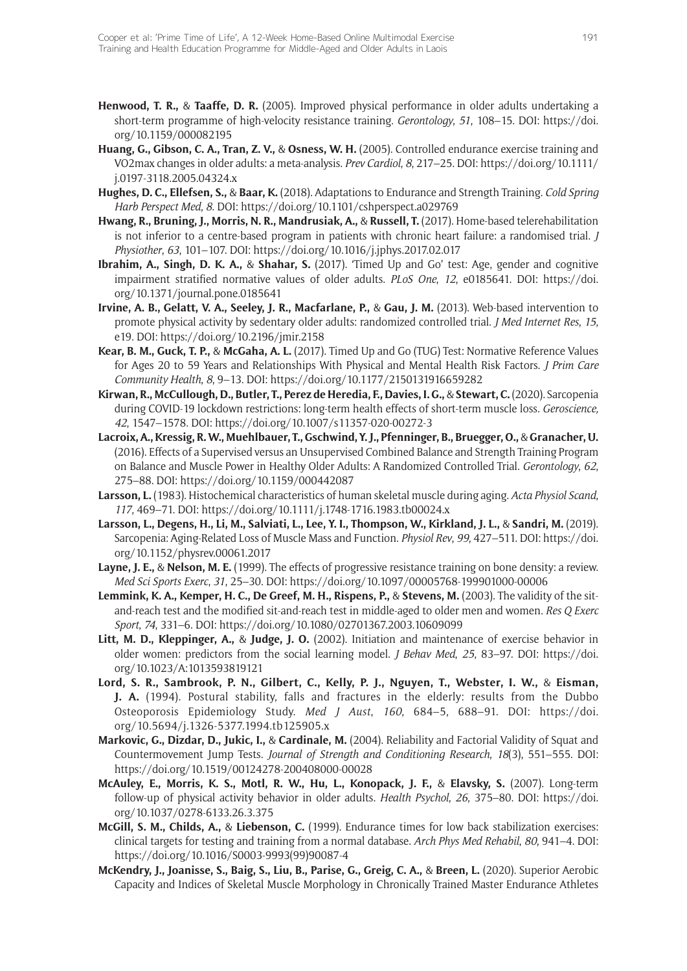- **Henwood, T. R.,** & **Taaffe, D. R.** (2005). Improved physical performance in older adults undertaking a short-term programme of high-velocity resistance training. *Gerontology*, *51*, 108–15. DOI: [https://doi.](https://doi.org/10.1159/000082195) [org/10.1159/000082195](https://doi.org/10.1159/000082195)
- **Huang, G., Gibson, C. A., Tran, Z. V.,** & **Osness, W. H.** (2005). Controlled endurance exercise training and VO2max changes in older adults: a meta-analysis. *Prev Cardiol*, *8*, 217–25. DOI: [https://doi.org/10.1111/](https://doi.org/10.1111/j.0197-3118.2005.04324.x) [j.0197-3118.2005.04324.x](https://doi.org/10.1111/j.0197-3118.2005.04324.x)
- **Hughes, D. C., Ellefsen, S.,** & **Baar, K.** (2018). Adaptations to Endurance and Strength Training. *Cold Spring Harb Perspect Med*, *8*. DOI: <https://doi.org/10.1101/cshperspect.a029769>
- **Hwang, R., Bruning, J., Morris, N. R., Mandrusiak, A.,** & **Russell, T.** (2017). Home-based telerehabilitation is not inferior to a centre-based program in patients with chronic heart failure: a randomised trial. *J Physiother*, *63*, 101–107. DOI: <https://doi.org/10.1016/j.jphys.2017.02.017>
- **Ibrahim, A., Singh, D. K. A.,** & **Shahar, S.** (2017). 'Timed Up and Go' test: Age, gender and cognitive impairment stratified normative values of older adults. *PLoS One*, *12*, e0185641. DOI: [https://doi.](https://doi.org/10.1371/journal.pone.0185641) [org/10.1371/journal.pone.0185641](https://doi.org/10.1371/journal.pone.0185641)
- **Irvine, A. B., Gelatt, V. A., Seeley, J. R., Macfarlane, P.,** & **Gau, J. M.** (2013). Web-based intervention to promote physical activity by sedentary older adults: randomized controlled trial. *J Med Internet Res*, *15*, e19. DOI: <https://doi.org/10.2196/jmir.2158>
- **Kear, B. M., Guck, T. P.,** & **McGaha, A. L.** (2017). Timed Up and Go (TUG) Test: Normative Reference Values for Ages 20 to 59 Years and Relationships With Physical and Mental Health Risk Factors. *J Prim Care Community Health*, *8*, 9–13. DOI:<https://doi.org/10.1177/2150131916659282>
- **Kirwan, R., McCullough, D., Butler, T., Perez de Heredia, F., Davies, I. G.,** & **Stewart, C.** (2020). Sarcopenia during COVID-19 lockdown restrictions: long-term health effects of short-term muscle loss. *Geroscience, 42*, 1547–1578. DOI:<https://doi.org/10.1007/s11357-020-00272-3>
- **Lacroix, A., Kressig, R. W., Muehlbauer, T., Gschwind, Y. J., Pfenninger, B., Bruegger, O.,** & **Granacher, U.**  (2016). Effects of a Supervised versus an Unsupervised Combined Balance and Strength Training Program on Balance and Muscle Power in Healthy Older Adults: A Randomized Controlled Trial. *Gerontology*, *62*, 275–88. DOI:<https://doi.org/10.1159/000442087>
- **Larsson, L.** (1983). Histochemical characteristics of human skeletal muscle during aging. *Acta Physiol Scand*, *117*, 469–71. DOI: <https://doi.org/10.1111/j.1748-1716.1983.tb00024.x>
- **Larsson, L., Degens, H., Li, M., Salviati, L., Lee, Y. I., Thompson, W., Kirkland, J. L.,** & **Sandri, M.** (2019). Sarcopenia: Aging-Related Loss of Muscle Mass and Function. *Physiol Rev*, *99*, 427–511. DOI: [https://doi.](https://doi.org/10.1152/physrev.00061.2017) [org/10.1152/physrev.00061.2017](https://doi.org/10.1152/physrev.00061.2017)
- **Layne, J. E.,** & **Nelson, M. E.** (1999). The effects of progressive resistance training on bone density: a review. *Med Sci Sports Exerc*, *31*, 25–30. DOI:<https://doi.org/10.1097/00005768-199901000-00006>
- **Lemmink, K. A., Kemper, H. C., De Greef, M. H., Rispens, P.,** & **Stevens, M.** (2003). The validity of the sitand-reach test and the modified sit-and-reach test in middle-aged to older men and women. *Res Q Exerc Sport*, *74*, 331–6. DOI:<https://doi.org/10.1080/02701367.2003.10609099>
- **Litt, M. D., Kleppinger, A.,** & **Judge, J. O.** (2002). Initiation and maintenance of exercise behavior in older women: predictors from the social learning model. *J Behav Med*, *25*, 83–97. DOI: [https://doi.](https://doi.org/10.1023/A:1013593819121) [org/10.1023/A:1013593819121](https://doi.org/10.1023/A:1013593819121)
- **Lord, S. R., Sambrook, P. N., Gilbert, C., Kelly, P. J., Nguyen, T., Webster, I. W.,** & **Eisman, J. A.** (1994). Postural stability, falls and fractures in the elderly: results from the Dubbo Osteoporosis Epidemiology Study. *Med J Aust*, *160*, 684–5, 688–91. DOI: [https://doi.](https://doi.org/10.5694/j.1326-5377.1994.tb125905.x) [org/10.5694/j.1326-5377.1994.tb125905.x](https://doi.org/10.5694/j.1326-5377.1994.tb125905.x)
- **Markovic, G., Dizdar, D., Jukic, I.,** & **Cardinale, M.** (2004). Reliability and Factorial Validity of Squat and Countermovement Jump Tests. *Journal of Strength and Conditioning Research*, *18*(3), 551–555. DOI: <https://doi.org/10.1519/00124278-200408000-00028>
- **McAuley, E., Morris, K. S., Motl, R. W., Hu, L., Konopack, J. F.,** & **Elavsky, S.** (2007). Long-term follow-up of physical activity behavior in older adults. *Health Psychol*, *26*, 375–80. DOI: [https://doi.](https://doi.org/10.1037/0278-6133.26.3.375) [org/10.1037/0278-6133.26.3.375](https://doi.org/10.1037/0278-6133.26.3.375)
- **McGill, S. M., Childs, A.,** & **Liebenson, C.** (1999). Endurance times for low back stabilization exercises: clinical targets for testing and training from a normal database. *Arch Phys Med Rehabil*, *80*, 941–4. DOI: [https://doi.org/10.1016/S0003-9993\(99\)90087-4](https://doi.org/10.1016/S0003-9993(99)90087-4)
- **McKendry, J., Joanisse, S., Baig, S., Liu, B., Parise, G., Greig, C. A.,** & **Breen, L.** (2020). Superior Aerobic Capacity and Indices of Skeletal Muscle Morphology in Chronically Trained Master Endurance Athletes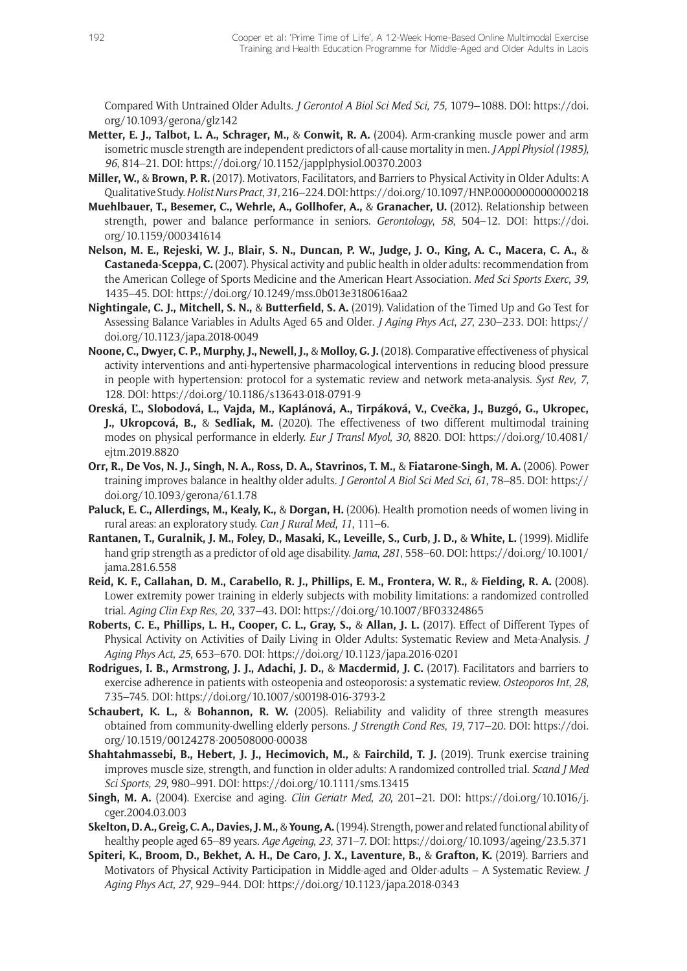Compared With Untrained Older Adults. *J Gerontol A Biol Sci Med Sci*, *75*, 1079–1088. DOI: [https://doi.](https://doi.org/10.1093/gerona/glz142) [org/10.1093/gerona/glz142](https://doi.org/10.1093/gerona/glz142)

- **Metter, E. J., Talbot, L. A., Schrager, M.,** & **Conwit, R. A.** (2004). Arm-cranking muscle power and arm isometric muscle strength are independent predictors of all-cause mortality in men. *J Appl Physiol (1985)*, *96*, 814–21. DOI: <https://doi.org/10.1152/japplphysiol.00370.2003>
- **Miller, W.,** & **Brown, P. R.** (2017). Motivators, Facilitators, and Barriers to Physical Activity in Older Adults: A Qualitative Study. *Holist Nurs Pract*, *31*, 216–224. DOI:<https://doi.org/10.1097/HNP.0000000000000218>
- **Muehlbauer, T., Besemer, C., Wehrle, A., Gollhofer, A.,** & **Granacher, U.** (2012). Relationship between strength, power and balance performance in seniors. *Gerontology*, *58*, 504–12. DOI: [https://doi.](https://doi.org/10.1159/000341614) [org/10.1159/000341614](https://doi.org/10.1159/000341614)
- **Nelson, M. E., Rejeski, W. J., Blair, S. N., Duncan, P. W., Judge, J. O., King, A. C., Macera, C. A.,** & **Castaneda-Sceppa, C.** (2007). Physical activity and public health in older adults: recommendation from the American College of Sports Medicine and the American Heart Association. *Med Sci Sports Exerc*, *39*, 1435–45. DOI: <https://doi.org/10.1249/mss.0b013e3180616aa2>
- **Nightingale, C. J., Mitchell, S. N.,** & **Butterfield, S. A.** (2019). Validation of the Timed Up and Go Test for Assessing Balance Variables in Adults Aged 65 and Older. *J Aging Phys Act*, *27*, 230–233. DOI: [https://](https://doi.org/10.1123/japa.2018-0049) [doi.org/10.1123/japa.2018-0049](https://doi.org/10.1123/japa.2018-0049)
- **Noone, C., Dwyer, C. P., Murphy, J., Newell, J.,** & **Molloy, G. J.** (2018). Comparative effectiveness of physical activity interventions and anti-hypertensive pharmacological interventions in reducing blood pressure in people with hypertension: protocol for a systematic review and network meta-analysis. *Syst Rev*, *7*, 128. DOI:<https://doi.org/10.1186/s13643-018-0791-9>
- **Oreská, Ľ., Slobodová, L., Vajda, M., Kaplánová, A., Tirpáková, V., Cvečka, J., Buzgó, G., Ukropec, J., Ukropcová, B.,** & **Sedliak, M.** (2020). The effectiveness of two different multimodal training modes on physical performance in elderly. *Eur J Transl Myol*, *30*, 8820. DOI: [https://doi.org/10.4081/](https://doi.org/10.4081/ejtm.2019.8820) [ejtm.2019.8820](https://doi.org/10.4081/ejtm.2019.8820)
- **Orr, R., De Vos, N. J., Singh, N. A., Ross, D. A., Stavrinos, T. M.,** & **Fiatarone-Singh, M. A.** (2006). Power training improves balance in healthy older adults. *J Gerontol A Biol Sci Med Sci*, *61*, 78–85. DOI: [https://](https://doi.org/10.1093/gerona/61.1.78) [doi.org/10.1093/gerona/61.1.78](https://doi.org/10.1093/gerona/61.1.78)
- **Paluck, E. C., Allerdings, M., Kealy, K.,** & **Dorgan, H.** (2006). Health promotion needs of women living in rural areas: an exploratory study. *Can J Rural Med*, *11*, 111–6.
- **Rantanen, T., Guralnik, J. M., Foley, D., Masaki, K., Leveille, S., Curb, J. D.,** & **White, L.** (1999). Midlife hand grip strength as a predictor of old age disability. *Jama*, *281*, 558–60. DOI: [https://doi.org/10.1001/](https://doi.org/10.1001/jama.281.6.558) [jama.281.6.558](https://doi.org/10.1001/jama.281.6.558)
- **Reid, K. F., Callahan, D. M., Carabello, R. J., Phillips, E. M., Frontera, W. R.,** & **Fielding, R. A.** (2008). Lower extremity power training in elderly subjects with mobility limitations: a randomized controlled trial. *Aging Clin Exp Res*, *20*, 337–43. DOI: <https://doi.org/10.1007/BF03324865>
- **Roberts, C. E., Phillips, L. H., Cooper, C. L., Gray, S.,** & **Allan, J. L.** (2017). Effect of Different Types of Physical Activity on Activities of Daily Living in Older Adults: Systematic Review and Meta-Analysis. *J Aging Phys Act*, *25*, 653–670. DOI: <https://doi.org/10.1123/japa.2016-0201>
- Rodrigues, I. B., Armstrong, J. J., Adachi, J. D., & Macdermid, J. C. (2017). Facilitators and barriers to exercise adherence in patients with osteopenia and osteoporosis: a systematic review. *Osteoporos Int*, *28*, 735–745. DOI:<https://doi.org/10.1007/s00198-016-3793-2>
- **Schaubert, K. L.,** & **Bohannon, R. W.** (2005). Reliability and validity of three strength measures obtained from community-dwelling elderly persons. *J Strength Cond Res*, *19*, 717–20. DOI: [https://doi.](https://doi.org/10.1519/00124278-200508000-00038) [org/10.1519/00124278-200508000-00038](https://doi.org/10.1519/00124278-200508000-00038)
- **Shahtahmassebi, B., Hebert, J. J., Hecimovich, M.,** & **Fairchild, T. J.** (2019). Trunk exercise training improves muscle size, strength, and function in older adults: A randomized controlled trial. *Scand J Med Sci Sports*, *29*, 980–991. DOI: <https://doi.org/10.1111/sms.13415>
- **Singh, M. A.** (2004). Exercise and aging. *Clin Geriatr Med*, *20*, 201–21. DOI: [https://doi.org/10.1016/j.](https://doi.org/10.1016/j.cger.2004.03.003) [cger.2004.03.003](https://doi.org/10.1016/j.cger.2004.03.003)
- **Skelton, D. A., Greig, C. A., Davies, J. M.,** & **Young, A.** (1994). Strength, power and related functional ability of healthy people aged 65–89 years. *Age Ageing*, *23*, 371–7. DOI:<https://doi.org/10.1093/ageing/23.5.371>
- **Spiteri, K., Broom, D., Bekhet, A. H., De Caro, J. X., Laventure, B.,** & **Grafton, K.** (2019). Barriers and Motivators of Physical Activity Participation in Middle-aged and Older-adults – A Systematic Review. *J Aging Phys Act*, *27*, 929–944. DOI: <https://doi.org/10.1123/japa.2018-0343>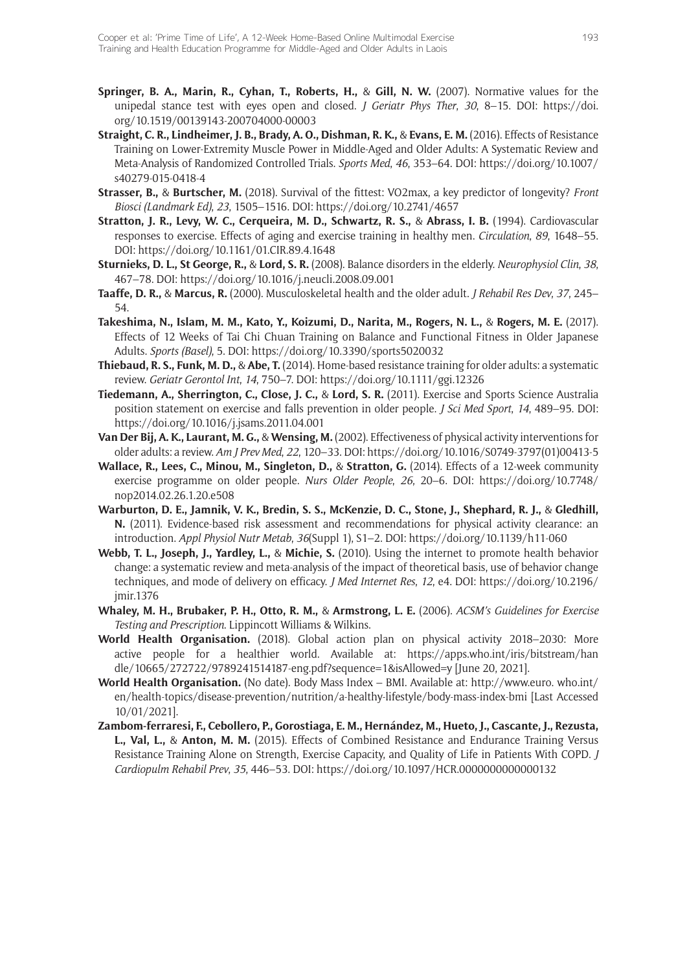- **Springer, B. A., Marin, R., Cyhan, T., Roberts, H.,** & **Gill, N. W.** (2007). Normative values for the unipedal stance test with eyes open and closed. *J Geriatr Phys Ther*, *30*, 8–15. DOI: [https://doi.](https://doi.org/10.1519/00139143-200704000-00003) [org/10.1519/00139143-200704000-00003](https://doi.org/10.1519/00139143-200704000-00003)
- **Straight, C. R., Lindheimer, J. B., Brady, A. O., Dishman, R. K.,** & **Evans, E. M.** (2016). Effects of Resistance Training on Lower-Extremity Muscle Power in Middle-Aged and Older Adults: A Systematic Review and Meta-Analysis of Randomized Controlled Trials. *Sports Med*, *46*, 353–64. DOI: [https://doi.org/10.1007/](https://doi.org/10.1007/s40279-015-0418-4) [s40279-015-0418-4](https://doi.org/10.1007/s40279-015-0418-4)
- **Strasser, B.,** & **Burtscher, M.** (2018). Survival of the fittest: VO2max, a key predictor of longevity? *Front Biosci (Landmark Ed)*, *23*, 1505–1516. DOI: <https://doi.org/10.2741/4657>
- **Stratton, J. R., Levy, W. C., Cerqueira, M. D., Schwartz, R. S.,** & **Abrass, I. B.** (1994). Cardiovascular responses to exercise. Effects of aging and exercise training in healthy men. *Circulation*, *89*, 1648–55. DOI: <https://doi.org/10.1161/01.CIR.89.4.1648>
- **Sturnieks, D. L., St George, R.,** & **Lord, S. R.** (2008). Balance disorders in the elderly. *Neurophysiol Clin*, *38*, 467–78. DOI:<https://doi.org/10.1016/j.neucli.2008.09.001>
- **Taaffe, D. R.,** & **Marcus, R.** (2000). Musculoskeletal health and the older adult. *J Rehabil Res Dev*, *37*, 245– 54.
- **Takeshima, N., Islam, M. M., Kato, Y., Koizumi, D., Narita, M., Rogers, N. L.,** & **Rogers, M. E.** (2017). Effects of 12 Weeks of Tai Chi Chuan Training on Balance and Functional Fitness in Older Japanese Adults. *Sports (Basel)*, 5. DOI:<https://doi.org/10.3390/sports5020032>
- **Thiebaud, R. S., Funk, M. D.,** & **Abe, T.** (2014). Home-based resistance training for older adults: a systematic review. *Geriatr Gerontol Int*, *14*, 750–7. DOI:<https://doi.org/10.1111/ggi.12326>
- **Tiedemann, A., Sherrington, C., Close, J. C.,** & **Lord, S. R.** (2011). Exercise and Sports Science Australia position statement on exercise and falls prevention in older people. *J Sci Med Sport*, *14*, 489–95. DOI: <https://doi.org/10.1016/j.jsams.2011.04.001>
- **Van Der Bij, A. K., Laurant, M. G.,** & **Wensing, M.** (2002). Effectiveness of physical activity interventions for older adults: a review. *Am J Prev Med*, *22*, 120–33. DOI: [https://doi.org/10.1016/S0749-3797\(01\)00413-5](https://doi.org/10.1016/S0749-3797(01)00413-5)
- **Wallace, R., Lees, C., Minou, M., Singleton, D.,** & **Stratton, G.** (2014). Effects of a 12-week community exercise programme on older people. *Nurs Older People*, *26*, 20–6. DOI: [https://doi.org/10.7748/](https://doi.org/10.7748/nop2014.02.26.1.20.e508) [nop2014.02.26.1.20.e508](https://doi.org/10.7748/nop2014.02.26.1.20.e508)
- **Warburton, D. E., Jamnik, V. K., Bredin, S. S., McKenzie, D. C., Stone, J., Shephard, R. J.,** & **Gledhill, N.** (2011). Evidence-based risk assessment and recommendations for physical activity clearance: an introduction. *Appl Physiol Nutr Metab*, *36*(Suppl 1), S1–2. DOI: <https://doi.org/10.1139/h11-060>
- **Webb, T. L., Joseph, J., Yardley, L.,** & **Michie, S.** (2010). Using the internet to promote health behavior change: a systematic review and meta-analysis of the impact of theoretical basis, use of behavior change techniques, and mode of delivery on efficacy. *J Med Internet Res*, *12*, e4. DOI: [https://doi.org/10.2196/](https://doi.org/10.2196/jmir.1376) [jmir.1376](https://doi.org/10.2196/jmir.1376)
- **Whaley, M. H., Brubaker, P. H., Otto, R. M.,** & **Armstrong, L. E.** (2006). *ACSM's Guidelines for Exercise Testing and Prescription*. Lippincott Williams & Wilkins.
- **World Health Organisation.** (2018). Global action plan on physical activity 2018–2030: More active people for a healthier world. Available at: [https://apps.who.int/iris/bitstream/han](https://apps.who.int/iris/bitstream/handle/10665/272722/9789241514187-eng.pdf?sequence=1&isAllowed=y) [dle/10665/272722/9789241514187-eng.pdf?sequence=1&isAllowed=y](https://apps.who.int/iris/bitstream/handle/10665/272722/9789241514187-eng.pdf?sequence=1&isAllowed=y) [June 20, 2021].
- **World Health Organisation.** (No date). Body Mass Index BMI. Available at: [http://www.euro. who.int/](http://www.euro. who.int/en/health-topics/disease-prevention/nutrition/a-healthy-lifestyle/body-mass-index-bmi) [en/health-topics/disease-prevention/nutrition/a-healthy-lifestyle/body-mass-index-bmi](http://www.euro. who.int/en/health-topics/disease-prevention/nutrition/a-healthy-lifestyle/body-mass-index-bmi) [Last Accessed 10/01/2021].
- **Zambom-ferraresi, F., Cebollero, P., Gorostiaga, E. M., Hernández, M., Hueto, J., Cascante, J., Rezusta, L., Val, L.,** & **Anton, M. M.** (2015). Effects of Combined Resistance and Endurance Training Versus Resistance Training Alone on Strength, Exercise Capacity, and Quality of Life in Patients With COPD. *J Cardiopulm Rehabil Prev*, *35*, 446–53. DOI:<https://doi.org/10.1097/HCR.0000000000000132>